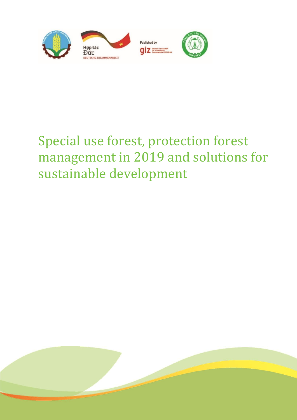

# Special use forest, protection forest management in 2019 and solutions for sustainable development

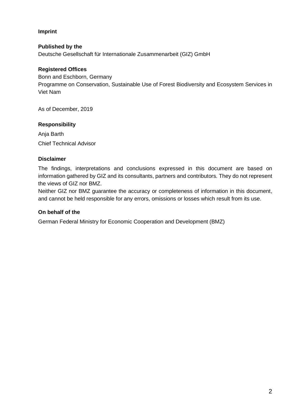### **Imprint**

#### **Published by the**

Deutsche Gesellschaft für Internationale Zusammenarbeit (GIZ) GmbH

#### **Registered Offices**

Bonn and Eschborn, Germany Programme on Conservation, Sustainable Use of Forest Biodiversity and Ecosystem Services in Viet Nam

As of December, 2019

#### **Responsibility**

Anja Barth Chief Technical Advisor

#### **Disclaimer**

The findings, interpretations and conclusions expressed in this document are based on information gathered by GIZ and its consultants, partners and contributors. They do not represent the views of GIZ nor BMZ.

Neither GIZ nor BMZ guarantee the accuracy or completeness of information in this document, and cannot be held responsible for any errors, omissions or losses which result from its use.

#### **On behalf of the**

German Federal Ministry for Economic Cooperation and Development (BMZ)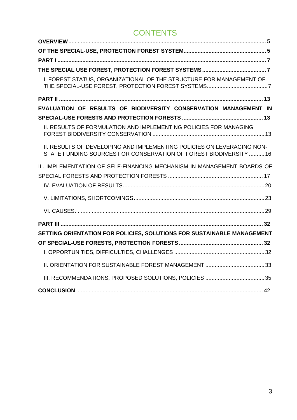## **CONTENTS**

| I. FOREST STATUS, ORGANIZATIONAL OF THE STRUCTURE FOR MANAGEMENT OF                                                                        |  |
|--------------------------------------------------------------------------------------------------------------------------------------------|--|
|                                                                                                                                            |  |
| EVALUATION OF RESULTS OF BIODIVERSITY CONSERVATION MANAGEMENT IN                                                                           |  |
|                                                                                                                                            |  |
| II. RESULTS OF FORMULATION AND IMPLEMENTING POLICIES FOR MANAGING                                                                          |  |
| II. RESULTS OF DEVELOPING AND IMPLEMENTING POLICIES ON LEVERAGING NON-<br>STATE FUNDING SOURCES FOR CONSERVATION OF FOREST BIODIVERSITY 16 |  |
| III. IMPLEMENTATION OF SELF-FINANCING MECHANISM IN MANAGEMENT BOARDS OF                                                                    |  |
|                                                                                                                                            |  |
|                                                                                                                                            |  |
|                                                                                                                                            |  |
|                                                                                                                                            |  |
|                                                                                                                                            |  |
| SETTING ORIENTATION FOR POLICIES, SOLUTIONS FOR SUSTAINABLE MANAGEMENT                                                                     |  |
|                                                                                                                                            |  |
|                                                                                                                                            |  |
|                                                                                                                                            |  |
|                                                                                                                                            |  |
|                                                                                                                                            |  |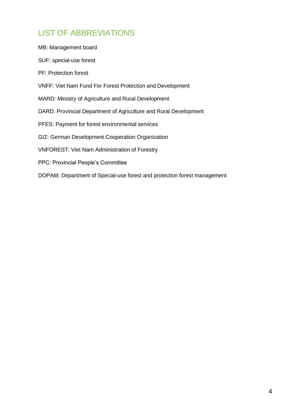## LIST OF ABBREVIATIONS

| MB: Management board                                                     |
|--------------------------------------------------------------------------|
| SUF: special-use forest                                                  |
| <b>PF: Protection forest</b>                                             |
| <b>VNFF: Viet Nam Fund For Forest Protection and Development</b>         |
| MARD: Ministry of Agriculture and Rural Development                      |
| DARD: Provincial Department of Agriculture and Rural Development         |
| PFES: Payment for forest environmental services                          |
| GIZ: German Development Cooperation Organization                         |
| <b>VNFOREST: Viet Nam Administration of Forestry</b>                     |
| <b>PPC: Provincial People's Committee</b>                                |
| DOPAM: Department of Special-use forest and protection forest management |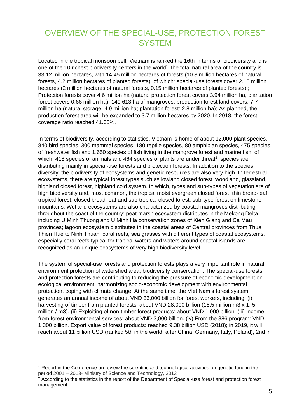## <span id="page-4-1"></span><span id="page-4-0"></span>OVERVIEW OF THE SPECIAL-USE, PROTECTION FOREST **SYSTEM**

Located in the tropical monsoon belt, Vietnam is ranked the 16th in terms of biodiversity and is one of the 10 richest biodiversity centers in the world<sup>1</sup>, the total natural area of the country is 33.12 million hectares, with 14.45 million hectares of forests (10.3 million hectares of natural forests, 4.2 million hectares of planted forests), of which: special-use forests cover 2.15 million hectares (2 million hectares of natural forests, 0.15 million hectares of planted forests) ; Protection forests cover 4.6 million ha (natural protection forest covers 3.94 million ha, plantation forest covers 0.66 million ha); 149,613 ha of mangroves; production forest land covers: 7.7 million ha (natural storage: 4.9 million ha; plantation forest: 2.8 million ha); As planned, the production forest area will be expanded to 3.7 million hectares by 2020. In 2018, the forest coverage ratio reached 41.65%.

In terms of biodiversity, according to statistics, Vietnam is home of about 12,000 plant species, 840 bird species, 300 mammal species, 180 reptile species, 80 amphibian species, 475 species of freshwater fish and 1,650 species of fish living in the mangrove forest and marine fish, of which, 418 species of animals and 464 species of plants are under threat<sup>2</sup>, species are distributing mainly in special-use forests and protection forests. In addition to the species diversity, the biodiversity of ecosystems and genetic resources are also very high. In terrestrial ecosystems, there are typical forest types such as lowland closed forest, woodland, glassland, highland closed forest, highland cold system. In which, types and sub-types of vegetation are of high biodiversity and, most common, the tropical moist evergreen closed forest; thin broad-leaf tropical forest; closed broad-leaf and sub-tropical closed forest; sub-type forest on limestone mountains. Wetland ecosystems are also characterized by coastal mangroves distributing throughout the coast of the country; peat marsh ecosystem distributes in the Mekong Delta, including U Minh Thuong and U Minh Ha conservation zones of Kien Giang and Ca Mau provinces; lagoon ecosystem distributes in the coastal areas of Central provinces from Thua Thien Hue to Ninh Thuan; coral reefs, sea grasses with different types of coastal ecosystems, especially coral reefs typical for tropical waters and waters around coastal islands are recognized as an unique ecosystems of very high biodiversity level.

The system of special-use forests and protection forests plays a very important role in natural environment protection of watershed area, biodiversity conservation. The special-use forests and protection forests are contributing to reducing the pressure of economic development on ecological environment; harmonizing socio-economic development with environmental protection, coping with climate change. At the same time, the Viet Nam's forest system generates an annual income of about VND 33,000 billion for forest workers, including: (i) harvesting of timber from planted forests: about VND 28,000 billion (18.5 million m3 x 1, 5 million / m3). (ii) Exploiting of non-timber forest products: about VND 1,000 billion. (iii) income from forest environmental services: about VND 3,000 billion. (iv) From the 886 program: VND 1,300 billion. Export value of forest products: reached 9.38 billion USD (2018); in 2019, it will reach about 11 billion USD (ranked 5th in the world, after China, Germany, Italy, Poland), 2nd in

<sup>&</sup>lt;sup>1</sup> Report in the Conference on review the scientific and technological activities on genetic fund in the period 2001 – 2013- Ministry of Science and Technology, 2013

<sup>&</sup>lt;sup>2</sup> According to the statistics in the report of the Department of Special-use forest and protection forest management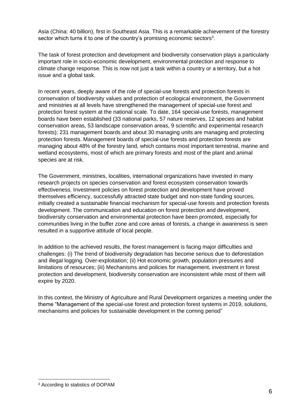Asia (China: 40 billion), first in Southeast Asia. This is a remarkable achievement of the forestry sector which turns it to one of the country's promising economic sectors $^3\!$ .

The task of forest protection and development and biodiversity conservation plays a particularly important role in socio-economic development, environmental protection and response to climate change response. This is now not just a task within a country or a territory, but a hot issue and a global task.

In recent years, deeply aware of the role of special-use forests and protection forests in conservation of biodiversity values and protection of ecological environment, the Government and ministries at all levels have strengthened the management of special-use forest and protection forest system at the national scale. To date, 164 special-use forests, management boards have been established (33 national parks, 57 nature reserves, 12 species and habitat conservation areas, 53 landscape conservation areas, 9 scientific and experimental research forests); 231 management boards and about 30 managing units are managing and protecting protection forests. Management boards of special-use forests and protection forests are managing about 48% of the forestry land, which contains most important terrestrial, marine and wetland ecosystems, most of which are primary forests and most of the plant and animal species are at risk.

The Government, ministries, localities, international organizations have invested in many research projects on species conservation and forest ecosystem conservation towards effectiveness. Investment policies on forest protection and development have proved themselves efficiency, successfully attracted state budget and non-state funding sources, initially created a sustainable financial mechanism for special-use forests and protection forests development. The communication and education on forest protection and development, biodiversity conservation and environmental protection have been promoted, especially for communities living in the buffer zone and core areas of forests, a change in awareness is seen resulted in a supportive attitude of local people.

In addition to the achieved results, the forest management is facing major difficulties and challenges: (i) The trend of biodiversity degradation has become serious due to deforestation and illegal logging. Over-exploitation; (ii) Hot economic growth, population pressures and limitations of resources; (iii) Mechanisms and policies for management, investment in forest protection and development, biodiversity conservation are inconsistent while most of them will expire by 2020.

In this context, the Ministry of Agriculture and Rural Development organizes a meeting under the theme "Management of the special-use forest and protection forest systems in 2019, solutions, mechanisms and policies for sustainable development in the coming period"

<span id="page-5-0"></span><sup>3</sup> According to statistics of DOPAM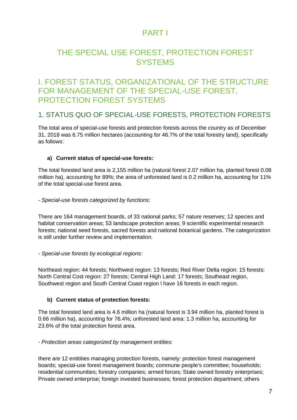## <span id="page-6-0"></span>PART I

## THE SPECIAL USE FOREST, PROTECTION FOREST **SYSTEMS**

### <span id="page-6-1"></span>I. FOREST STATUS, ORGANIZATIONAL OF THE STRUCTURE FOR MANAGEMENT OF THE SPECIAL-USE FOREST, PROTECTION FOREST SYSTEMS

### 1. STATUS QUO OF SPECIAL-USE FORESTS, PROTECTION FORESTS

The total area of special-use forests and protection forests across the country as of December 31, 2018 was 6.75 million hectares (accounting for 46.7% of the total forestry land), specifically as follows:

#### **a) Current status of special-use forests:**

The total forested land area is 2,155 million ha (natural forest 2.07 million ha, planted forest 0.08 million ha), accounting for 89%; the area of unforested land is 0.2 million ha, accounting for 11% of the total special-use forest area.

#### - *Special-use forests categorized by functions*:

There are 164 management boards, of 33 national parks; 57 nature reserves; 12 species and habitat conservation areas; 53 landscape protection areas; 9 scientific experimental research forests; national seed forests, sacred forests and national botanical gardens. The categorization is still under further review and implementation.

*- Special-use forests by ecological regions:* 

Northeast region: 44 forests; Northwest region: 13 forests; Red River Delta region: 15 forests; North Central Cost region: 27 forests; Central High Land: 17 forests; Southeast region, Southwest region and South Central Coast region l have 16 forests in each region.

#### **b) Current status of protection forests:**

The total forested land area is 4.6 million ha (natural forest is 3.94 million ha, planted forest is 0.66 million ha), accounting for 76.4%; unforested land area: 1.3 million ha, accounting for 23.6% of the total protection forest area.

- *Protection areas categorized by management entities*:

there are 12 entitities managing protection forests, namely: protection forest management boards; special-use forest management boards; commune people's committee; households; residential communities; forestry companies; armed forces; State owned forestry enterprises; Private owned enterprise; foreign invested businesses; forest protection department; others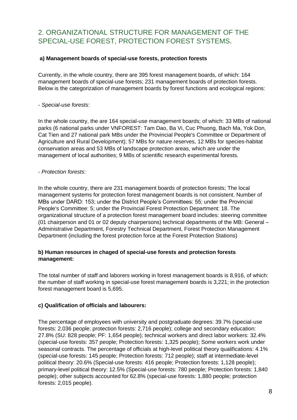### 2. ORGANIZATIONAL STRUCTURE FOR MANAGEMENT OF THE SPECIAL-USE FOREST, PROTECTION FOREST SYSTEMS.

### **a) Management boards of special-use forests, protection forests**

Currently, in the whole country, there are 395 forest management boards, of which: 164 management boards of special-use forests; 231 management boards of protection forests. Below is the categorization of management boards by forest functions and ecological regions:

### - *Special-use forests*:

In the whole country, the are 164 special-use management boards; of which: 33 MBs of national parks (6 national parks under VNFOREST: Tam Dao, Ba Vi, Cuc Phuong, Bach Ma, Yok Don, Cat Tien and 27 national park MBs under the Provincial People's Committee or Department of Agriculture and Rural Development); 57 MBs for nature reserves, 12 MBs for species-habitat conservation areas and 53 MBs of landscape protection areas, which are under the management of local authorities; 9 MBs of scientific research experimental forests.

#### - *Protection forests*:

In the whole country, there are 231 management boards of protection forests; The local management systems for protection forest management boards is not consistent. Number of MBs under DARD: 153; under the District People's Committees: 55; under the Provincial People's Committee: 5; under the Provincial Forest Protection Department: 18. The organizational structure of a protection forest management board includes: steering committee (01 chairperson and 01 or 02 deputy chairpersons) technical departments of the MB: General – Administrative Department, Forestry Technical Department, Forest Protection Management Department (including the forest protection force at the Forest Protection Stations)

### **b) Human resources in chaged of special-use forests and protection forests management:**

The total number of staff and laborers working in forest management boards is 8,916, of which: the number of staff working in special-use forest management boards is 3,221; in the protection forest management board is 5,695.

### **c) Qualification of officials and labourers:**

The percentage of employees with university and postgraduate degrees: 39.7% (special-use forests: 2,036 people; protection forests: 2,716 people); college and secondary education: 27.8% (SU: 828 people; PF: 1,654 people); technical workers and direct labor workers: 32.4% (special-use forests: 357 people; Protection forests: 1,325 people); Some workers work under seasonal contracts. The percentage of officials at high-level political theory qualifications: 4.1% (special-use forests: 145 people; Protection forests: 712 people); staff at intermediate-level political theory: 20.6% (Special-use forests: 416 people; Protection forests: 1,128 people); primary-level political theory: 12.5% (Special-use forests: 780 people; Protection forests: 1,840 people); other subjects accounted for 62.8% (special-use forests: 1,880 people; protection forests: 2,015 people).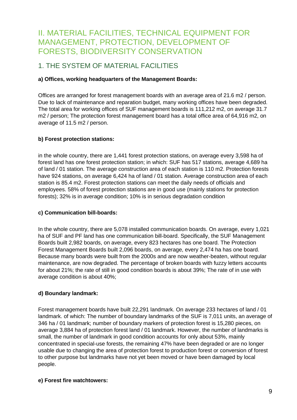## II. MATERIAL FACILITIES, TECHNICAL EQUIPMENT FOR MANAGEMENT, PROTECTION, DEVELOPMENT OF FORESTS, BIODIVERSITY CONSERVATION

### 1. THE SYSTEM OF MATERIAL FACILITIES

### **a) Offices, working headquarters of the Management Boards:**

Offices are arranged for forest management boards with an average area of 21.6 m2 / person. Due to lack of maintenance and reparation budget, many working offices have been degraded. The total area for working offices of SUF management boards is 111,212 m2, on average 31.7 m2 / person; The protection forest management board has a total office area of 64,916 m2, on average of 11.5 m2 / person.

### **b) Forest protection stations:**

in the whole country, there are 1,441 forest protection stations, on average every 3,598 ha of forest land has one forest protection station; in which: SUF has 517 stations, average 4,689 ha of land / 01 station. The average construction area of each station is 110 m2. Protection forests have 924 stations, on average 6,424 ha of land / 01 station. Average construction area of each station is 85.4 m2. Forest protection stations can meet the daily needs of officials and employees. 58% of forest protection stations are in good use (mainly stations for protection forests); 32% is in average condition; 10% is in serious degradation condition

### **c) Communication bill-boards:**

In the whole country, there are 5,078 installed communication boards. On average, every 1,021 ha of SUF and PF land has one communication bill-board. Specifically, the SUF Management Boards built 2,982 boards, on average, every 823 hectares has one board. The Protection Forest Management Boards built 2,096 boards, on average, every 2,474 ha has one board. Because many boards were built from the 2000s and are now weather-beaten, without regular maintenance, are now degraded. The percentage of broken boards with fuzzy letters accounts for about 21%; the rate of still in good condition boards is about 39%; The rate of in use with average condition is about 40%;

### **d) Boundary landmark:**

Forest management boards have built 22,291 landmark. On average 233 hectares of land / 01 landmark. of which: The number of boundary landmarks of the SUF is 7,011 units, an average of 346 ha / 01 landmark; number of boundary markers of protection forest is 15,280 pieces, on average 3,884 ha of protection forest land / 01 landmark. However, the number of landmarks is small, the number of landmark in good condition accounts for only about 53%, mainly concentrated in special-use forests, the remaining 47% have been degraded or are no longer usable due to changing the area of protection forest to production forest or conversion of forest to other purpose but landmarks have not yet been moved or have been damaged by local people.

### **e) Forest fire watchtowers:**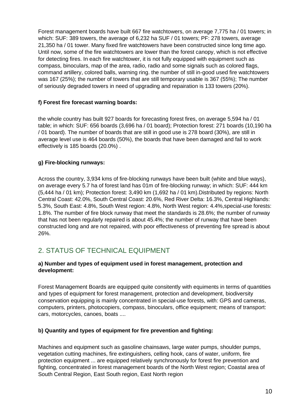Forest management boards have built 667 fire watchtowers, on average 7,775 ha / 01 towers; in which: SUF: 389 towers, the average of 6,232 ha SUF / 01 towers; PF: 278 towers, average 21,350 ha / 01 tower. Many fixed fire watchtowers have been constructed since long time ago. Until now, some of the fire watchtowers are lower than the forest canopy, which is not effective for detecting fires. In each fire watchtower, it is not fully equipped with equipment such as compass, binoculars, map of the area, radio, radio and some signals such as colored flags, command artillery, colored balls, warning ring. the number of still in-good used fire watchtowers was 167 (25%); the number of towers that are still temporary usable is 367 (55%); The number of seriously degraded towers in need of upgrading and repairation is 133 towers (20%).

### **f) Forest fire forecast warning boards:**

the whole country has built 927 boards for forecasting forest fires, on average 5,594 ha / 01 table; in which: SUF: 656 boards (3,696 ha / 01 board); Protection forest: 271 boards (10,190 ha / 01 board). The number of boards that are still in good use is 278 board (30%), are still in average level use is 464 boards (50%), the boards that have been damaged and fail to work effectively is 185 boards (20.0%) .

### **g) Fire-blocking runways:**

Across the country, 3,934 kms of fire-blocking runways have been built (white and blue ways), on average every 5.7 ha of forest land has 01m of fire-blocking runway; in which: SUF: 444 km (5,444 ha / 01 km); Protection forest: 3,490 km (1,692 ha / 01 km).Distributed by regions: North Central Coast: 42.0%, South Central Coast: 20.6%, Red River Delta: 16.3%, Central Highlands: 5.3%, South East: 4.8%, South West region: 4.8%, North West region: 4.4%,special-use forests: 1.8%. The number of fire block runway that meet the standards is 28.6%; the number of runway that has not been regularly repaired is about 45.4%; the number of runway that have been constructed long and are not repaired, with poor effectiveness of preventing fire spread is about 26%.

### 2. STATUS OF TECHNICAL EQUIPMENT

#### **a) Number and types of equipment used in forest management, protection and development:**

Forest Management Boards are equipped quite consitently with equiments in terms of quantities and types of equipment for forest management, protection and development, biodiversity conservation equipping is mainly concentrated in special-use forests, with: GPS and cameras, computers, printers, photocopiers, compass, binoculars, office equipment; means of transport: cars, motorcycles, canoes, boats ....

### **b) Quantity and types of equipment for fire prevention and fighting:**

Machines and equipment such as gasoline chainsaws, large water pumps, shoulder pumps, vegetation cutting machines, fire extinguishers, celling hook, cans of water, uniform, fire protection equipment ... are equipped relatively synchronously for forest fire prevention and fighting, concentrated in forest management boards of the North West region; Coastal area of South Central Region, East South region, East North region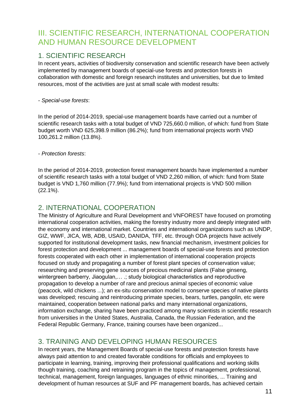## III. SCIENTIFIC RESEARCH, INTERNATIONAL COOPERATION AND HUMAN RESOURCE DEVELOPMENT

### 1. SCIENTIFIC RESEARCH

In recent years, activities of biodiversity conservation and scientific research have been actively implemented by management boards of special-use forests and protection forests in collaboration with domestic and foreign research institutes and universities, but due to limited resources, most of the activities are just at small scale with modest results:

- *Special-use forests*:

In the period of 2014-2019, special-use management boards have carried out a number of scientific research tasks with a total budget of VND 725,660.0 million, of which: fund from State budget worth VND 625,398.9 million (86.2%); fund from international projects worth VND 100,261.2 million (13.8%).

- *Protection forests*:

In the period of 2014-2019, protection forest management boards have implemented a number of scientific research tasks with a total budget of VND 2,260 million, of which: fund from State budget is VND 1,760 million (77.9%); fund from international projects is VND 500 million (22.1%).

### 2. INTERNATIONAL COOPERATION

The Ministry of Agriculture and Rural Development and VNFOREST have focused on promoting international cooperation activities, making the forestry industry more and deeply integrated with the economy and international market. Countries and international organizations such as UNDP, GIZ, WWF, JICA, WB, ADB, USAID, DANIDA, TFF, etc. through ODA projects have actively supported for institutional development tasks, new financial mechanism, investment policies for forest protection and development ... management boards of special-use forests and protection forests cooperated with each other in implementation of international cooperation projects focused on study and propagating a number of forest plant species of conservation value; researching and preserving gene sources of precious medicinal plants (False ginseng, wintergreen barberry, Jiaogulan,...; study biological characteristics and reproductive propagation to develop a number of rare and precious animal species of economic value (peacock, wild chickens ...); an ex-situ conservation model to conserve species of native plants was developed; rescuing and reintroducing primate species, bears, turtles, pangolin, etc were maintained, cooperation between national parks and many international organizations, information exchange, sharing have been practiced among many scientists in scientific research from universities in the United States, Australia, Canada, the Russian Federation, and the Federal Republic Germany, France, training courses have been organized...

### 3. TRAINING AND DEVELOPING HUMAN RESOURCES

In recent years, the Management Boards of special-use forests and protection forests have always paid attention to and created favorable conditions for officials and employees to participate in learning, training, improving their professional qualifications and working skills though training, coaching and retraining program in the topics of management, professional, technical, management, foreign languages, languages of ethnic minorities, ... Training and development of human resources at SUF and PF management boards, has achieved certain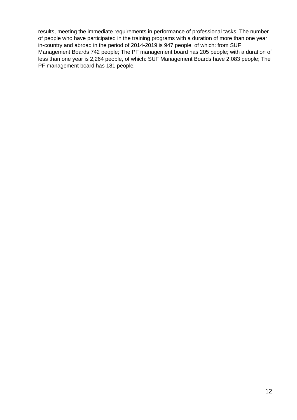results, meeting the immediate requirements in performance of professional tasks. The number of people who have participated in the training programs with a duration of more than one year in-country and abroad in the period of 2014-2019 is 947 people, of which: from SUF Management Boards 742 people; The PF management board has 205 people; with a duration of less than one year is 2,264 people, of which: SUF Management Boards have 2,083 people; The PF management board has 181 people.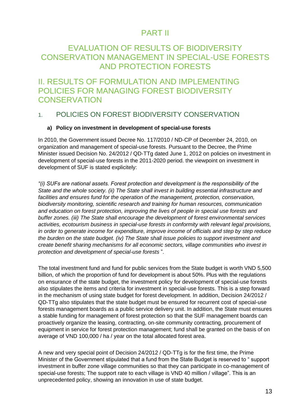### PART II

## <span id="page-12-1"></span><span id="page-12-0"></span>EVALUATION OF RESULTS OF BIODIVERSITY CONSERVATION MANAGEMENT IN SPECIAL-USE FORESTS AND PROTECTION FORESTS

### <span id="page-12-2"></span>II. RESULTS OF FORMULATION AND IMPLEMENTING POLICIES FOR MANAGING FOREST BIODIVERSITY **CONSERVATION**

### 1. POLICIES ON FOREST BIODIVERSITY CONSERVATION

#### **a) Policy on investment in development of special-use forests**

In 2010, the Government issued Decree No. 117/2010 / ND-CP of December 24, 2010, on organization and management of special-use forests. Pursuant to the Decree, the Prime Minister issued Decision No. 24/2012 / QD-TTg dated June 1, 2012 on policies on investment in development of special-use forests in the 2011-2020 period. the viewpoint on investment in development of SUF is stated explicitely:

*"(i) SUFs are national assets. Forest protection and development is the responsibility of the State and the whole society. (ii) The State shall invest in building essential infrastructure and*  facilities and ensures fund for the operation of the management, protection, conservation, *biodiversity monitoring, scientific research and training for human resources, communication and education on forest protection, improving the lives of people in special use forests and buffer zones. (iii) The State shall encourage the development of forest environmental services activities, ecotourism business in special-use forests in conformity with relevant legal provisions, in order to generate income for expenditure, improve income of officials and step by step reduce the burden on the state budget. (iv) The State shall issue policies to support investment and create benefit sharing mechanisms for all economic sectors, village communities who invest in protection and development of special-use forests* ".

The total investment fund and fund for public services from the State budget is worth VND 5,500 billion, of which the proportion of fund for development is about 50%. Plus with the regulations on ensurance of the state budget, the investment policy for development of special-use forests also stipulates the items and criteria for investment in special-use forests. This is a step forward in the mechanism of using state budget for forest development. In addition, Decision 24/2012 / QD-TTg also stipulates that the state budget must be ensured for recurrent cost of special-use forests management boards as a public service delivery unit. In addition, the State must ensures a stable funding for management of forest protection so that the SUF management boards can proactively organize the leasing, contracting, on-site community contracting, procurement of equipment in service for forest protection management; fund shall be granted on the basis of on average of VND 100,000 / ha / year on the total allocated forest area.

A new and very special point of Decision 24/2012 / QD-TTg is for the first time, the Prime Minister of the Government stipulated that a fund from the State Budget is reserved to " support investment in buffer zone village communities so that they can participate in co-management of special-use forests; The support rate to each village is VND 40 million / village". This is an unprecedented policy, showing an innovation in use of state budget.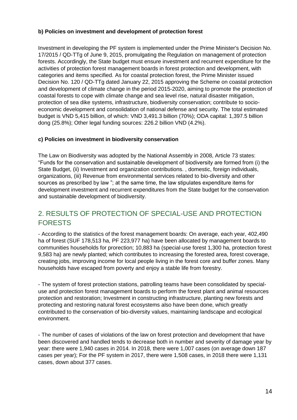### **b) Policies on investment and development of protection forest**

Investment in developing the PF system is implemented under the Prime Minister's Decision No. 17/2015 / QD-TTg of June 9, 2015, promulgating the Regulation on management of protection forests. Accordingly, the State budget must ensure investment and recurrent expenditure for the activities of protection forest management boards in forest protection and development, with categories and items specified. As for coastal protection forest, the Prime Minister issued Decision No. 120 / QD-TTg dated January 22, 2015 approving the Scheme on coastal protection and development of climate change in the period 2015-2020, aiming to promote the protection of coastal forests to cope with climate change and sea level rise, natural disaster mitigation, protection of sea dike systems, infrastructure, biodiversity conservation; contribute to socioeconomic development and consolidation of national defense and security. The total estimated budget is VND 5,415 billion, of which: VND 3,491.3 billion (70%); ODA capital: 1,397.5 billion dong (25.8%); Other legal funding sources: 226.2 billion VND (4.2%).

### **c) Policies on investment in biodiversity conservation**

The Law on Biodiversity was adopted by the National Assembly in 2008, Article 73 states: "Funds for the conservation and sustainable development of biodiversity are formed from (i) the State Budget, (ii) Investment and organization contributions. , domestic, foreign individuals, organizations, (iii) Revenue from environmental services related to bio-diversity and other sources as prescribed by law "; at the same time, the law stipulates expenditure items for development investment and recurrent expenditures from the State budget for the conservation and sustainable development of biodiversity.

### 2. RESULTS OF PROTECTION OF SPECIAL-USE AND PROTECTION FORESTS

- According to the statistics of the forest management boards: On average, each year, 402,490 ha of forest (SUF 178,513 ha, PF 223,977 ha) have been allocated by management boards to communities households for prorection; 10,883 ha (special-use forest 1,300 ha, protection forest 9,583 ha) are newly planted; which contributes to increasing the forested area, forest coverage, creating jobs, improving income for local people living in the forest core and buffer zones. Many households have escaped from poverty and enjoy a stable life from forestry.

- The system of forest protection stations, patrolling teams have been consolidated by specialuse and protection forest management boards to perform the forest plant and animal resources protection and restoration; Investment in constructing infrastructure, planting new forests and protecting and restoring natural forest ecosystems also have been done, which greatly contributed to the conservation of bio-diversity values, maintaining landscape and ecological environment.

- The number of cases of violations of the law on forest protection and development that have been discovered and handled tends to decrease both in number and severity of damage year by year: there were 1,940 cases in 2014. In 2018, there were 1,007 cases (on average down 187 cases per year); For the PF system in 2017, there were 1,508 cases, in 2018 there were 1,131 cases, down about 377 cases.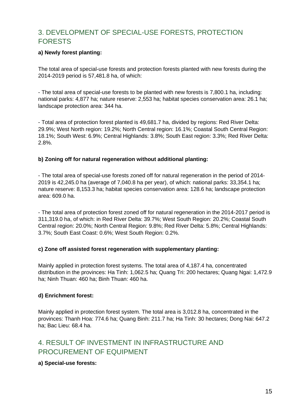### 3. DEVELOPMENT OF SPECIAL-USE FORESTS, PROTECTION FORESTS

### **a) Newly forest planting:**

The total area of special-use forests and protection forests planted with new forests during the 2014-2019 period is 57,481.8 ha, of which:

- The total area of special-use forests to be planted with new forests is 7,800.1 ha, including: national parks: 4,877 ha; nature reserve: 2,553 ha; habitat species conservation area: 26.1 ha; landscape protection area: 344 ha.

- Total area of protection forest planted is 49,681.7 ha, divided by regions: Red River Delta: 29.9%; West North region: 19.2%; North Central region: 16.1%; Coastal South Central Region: 18.1%; South West: 6.9%; Central Highlands: 3.8%; South East region: 3.3%; Red River Delta: 2.8%.

#### **b) Zoning off for natural regeneration without additional planting:**

- The total area of special-use forests zoned off for natural regeneration in the period of 2014- 2019 is 42,245.0 ha (average of 7,040.8 ha per year), of which: national parks: 33,354.1 ha; nature reserve: 8,153.3 ha; habitat species conservation area: 128.6 ha; landscape protection area: 609.0 ha.

- The total area of protection forest zoned off for natural regeneration in the 2014-2017 period is 311,319.0 ha, of which: in Red River Delta: 39.7%; West South Region: 20.2%; Coastal South Central region: 20.0%; North Central Region: 9.8%; Red River Delta: 5.8%; Central Highlands: 3.7%; South East Coast: 0.6%; West South Region: 0.2%.

#### **c) Zone off assisted forest regeneration with supplementary planting:**

Mainly applied in protection forest systems. The total area of 4,187.4 ha, concentrated distribution in the provinces: Ha Tinh: 1,062.5 ha; Quang Tri: 200 hectares; Quang Ngai: 1,472.9 ha; Ninh Thuan: 460 ha; Binh Thuan: 460 ha.

#### **d) Enrichment forest:**

Mainly applied in protection forest system. The total area is 3,012.8 ha, concentrated in the provinces: Thanh Hoa: 774.6 ha; Quang Binh: 211.7 ha; Ha Tinh: 30 hectares; Dong Nai: 647.2 ha; Bac Lieu: 68.4 ha.

### 4. RESULT OF INVESTMENT IN INFRASTRUCTURE AND PROCUREMENT OF EQUIPMENT

### **a) Special-use forests:**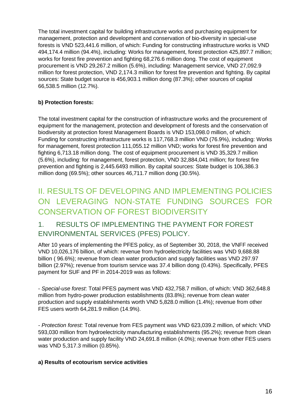The total investment capital for building infrastructure works and purchasing equipment for management, protection and development and conservation of bio-diversity in special-use forests is VND 523,441.6 million, of which: Funding for constructing infrastructure works is VND 494,174.4 million (94.4%), including: Works for management, forest protection 425,897.7 million; works for forest fire prevention and fighting 68,276.6 million dong. The cost of equipment procurement is VND 29,267.2 million (5.6%), including: Management service, VND 27,092.9 million for forest protection, VND 2,174.3 million for forest fire prevention and fighting. By capital sources: State budget source is 456,903.1 million dong (87.3%); other sources of capital 66,538.5 million (12.7%).

### **b) Protection forests:**

The total investment capital for the construction of infrastructure works and the procurement of equipment for the management, protection and development of forests and the conservation of biodiversity at protection forest Management Boards is VND 153,098.0 million, of which: Funding for constructing infrastructure works is 117,768.3 million VND (76.9%), including: Works for management, forest protection 111,055.12 million VND; works for forest fire prevention and fighting 6,713.18 million dong. The cost of equipment procurement is VND 35,329.7 million (5.6%), including: for management, forest protection, VND 32,884,041 million; for forest fire prevention and fighting is 2,445.6493 million. By capital sources: State budget is 106,386.3 million dong (69.5%); other sources 46,711.7 million dong (30.5%).

## <span id="page-15-0"></span>II. RESULTS OF DEVELOPING AND IMPLEMENTING POLICIES ON LEVERAGING NON-STATE FUNDING SOURCES FOR CONSERVATION OF FOREST BIODIVERSITY

### 1. RESULTS OF IMPLEMENTING THE PAYMENT FOR FOREST ENVIRONMENTAL SERVICES (PFES) POLICY.

After 10 years of implementing the PFES policy, as of September 30, 2018, the VNFF received VND 10,026,176 billion, of which: revenue from hydroelectricity facilities was VND 9,688.88 billion ( 96.6%); revenue from clean water production and supply facilities was VND 297.97 billion (2.97%); revenue from tourism service was 37.4 billion dong (0.43%). Specifically, PFES payment for SUF and PF in 2014-2019 was as follows:

- *Special-use forest*: Total PFES payment was VND 432,758.7 million, of which: VND 362,648.8 million from hydro-power production establishments (83.8%); revenue from clean water production and supply establishments worth VND 5,828.0 million (1.4%); revenue from other FES users worth 64,281.9 million (14.9%).

*- Protection forest:* Total revenue from FES payment was VND 623,039.2 million, of which: VND 593,030 million from hydroelectricity manufacturing establishments (95.2%); revenue from clean water production and supply facility VND 24,691.8 million (4.0%); revenue from other FES users was VND 5,317.3 million (0.85%).

#### **a) Results of ecotourism service activities**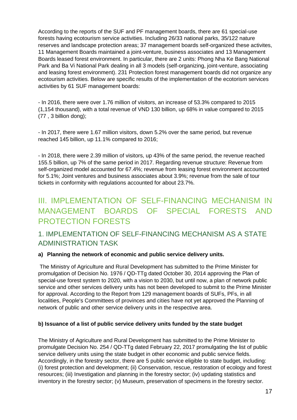According to the reports of the SUF and PF management boards, there are 61 special-use forests having ecotourism service activities. Including 26/33 national parks, 35/122 nature reserves and landscape protection areas; 37 management boards self-organized these activites, 11 Management Boards maintained a joint-venture, business associates and 13 Management Boards leased forest environment. In particular, there are 2 units: Phong Nha Ke Bang National Park and Ba Vi National Park dealing in all 3 models (self-organizing, joint-venture, associating and leasing forest environment). 231 Protection forest management boards did not organize any ecotourism activities. Below are specific results of the implementation of the ecotorism services activities by 61 SUF management boards:

- In 2016, there were over 1.76 million of visitors, an increase of 53.3% compared to 2015 (1,154 thousand), with a total revenue of VND 130 billion, up 68% in value compared to 2015 (77 , 3 billion dong);

- In 2017, there were 1.67 million visitors, down 5.2% over the same period, but revenue reached 145 billion, up 11.1% compared to 2016;

- In 2018, there were 2.39 million of visitors, up 43% of the same period, the revenue reached 155.5 billion, up 7% of the same period in 2017. Regarding revenue structure: Revenue from self-organized model accounted for 67.4%; revenue from leasing forest environment accounted for 5.1%; Joint ventures and business associates about 3.9%; revenue from the sale of tour tickets in conformity with regulations accounted for about 23.7%.

## <span id="page-16-0"></span>III. IMPLEMENTATION OF SELF-FINANCING MECHANISM IN MANAGEMENT BOARDS OF SPECIAL FORESTS AND PROTECTION FORESTS

### 1. IMPLEMENTATION OF SELF-FINANCING MECHANISM AS A STATE ADMINISTRATION TASK

### **a) Planning the network of economic and public service delivery units.**

The Ministry of Agriculture and Rural Development has submitted to the Prime Minister for promulgation of Decision No. 1976 / QD-TTg dated October 30, 2014 approving the Plan of special-use forest system to 2020, with a vision to 2030, but until now, a plan of network public service and other services delivery units has not been developed to submit to the Prime Minister for approval. According to the Report from 129 management boards of SUFs, PFs, in all localities, People's Committees of provinces and cities have not yet approved the Planning of network of public and other service delivery units in the respective area.

#### **b) Issuance of a list of public service delivery units funded by the state budget**

The Ministry of Agriculture and Rural Development has submitted to the Prime Minister to promulgate Decision No. 254 / QD-TTg dated February 22, 2017 promulgating the list of public service delivery units using the state budget in other economic and public service fields. Accordingly, in the forestry sector, there are 5 public service eligible to state budget, including: (i) forest protection and development; (ii) Conservation, rescue, restoration of ecology and forest resources; (iii) Investigation and planning in the forestry sector; (iv) updating statistics and inventory in the forestry sector; (v) Museum, preservation of specimens in the forestry sector.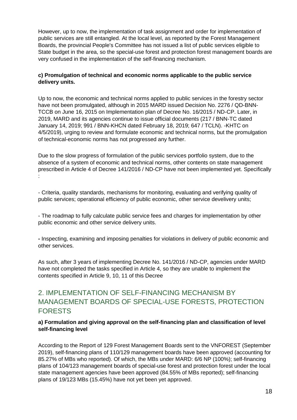However, up to now, the implementation of task assignment and order for implementation of public services are still entangled. At the local level, as reported by the Forest Management Boards, the provincial People's Committee has not issued a list of public services eligible to State budget in the area, so the special-use forest and protection forest management boards are very confused in the implementation of the self-financing mechanism.

### **c) Promulgation of technical and economic norms applicable to the public service delivery units.**

Up to now, the economic and technical norms applied to public services in the forestry sector have not been promulgated, although in 2015 MARD issued Decision No. 2276 / QD-BNN-TCCB on June 16, 2015 on Implementation plan of Decree No. 16/2015 / ND-CP. Later, in 2019, MARD and its agencies continue to issue official documents (217 / BNN-TC dated January 14, 2019; 991 / BNN-KHCN dated February 18, 2019; 647 / TCLN). -KHTC on 4/5/2019), urging to review and formulate economic and technical norms, but the promulgation of technical-economic norms has not progressed any further.

Due to the slow progress of formulation of the public services portfolio system, due to the absence of a system of economic and technical norms, other contents on state management prescribed in Article 4 of Decree 141/2016 / ND-CP have not been implemented yet. Specifically :

- Criteria, quality standards, mechanisms for monitoring, evaluating and verifying quality of public services; operational efficiency of public economic, other service develivery units;

- The roadmap to fully calculate public service fees and charges for implementation by other public economic and other service delivery units.

**-** Inspecting, examining and imposing penalties for violations in delivery of public economic and other services.

As such, after 3 years of implementing Decree No. 141/2016 / ND-CP, agencies under MARD have not completed the tasks specified in Article 4, so they are unable to implement the contents specified in Article 9, 10, 11 of this Decree

### 2. IMPLEMENTATION OF SELF-FINANCING MECHANISM BY MANAGEMENT BOARDS OF SPECIAL-USE FORESTS, PROTECTION FORESTS

#### **a) Formulation and giving approval on the self-financing plan and classification of level self-financing level**

According to the Report of 129 Forest Management Boards sent to the VNFOREST (September 2019), self-financing plans of 110/129 management boards have been approved (accounting for 85.27% of MBs who reported). Of which, the MBs under MARD: 6/6 NP (100%); self-financing plans of 104/123 management boards of special-use forest and protection forest under the local state management agencies have been approved (84.55% of MBs reported); self-financing plans of 19/123 MBs (15.45%) have not yet been yet approved.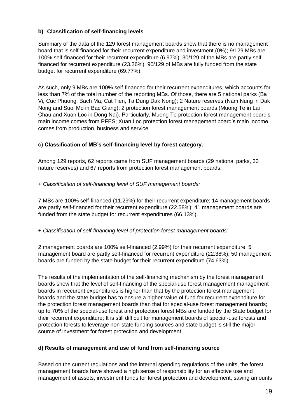### **b) Classification of self-financing levels**

Summary of the data of the 129 forest management boards show that there is no management board that is self-financed for their recurrent expenditure and investment (0%); 9/129 MBs are 100% self-financed for their recurrent expenditure (6.97%); 30/129 of the MBs are partly selffinanced for recurrent expenditure (23.26%); 90/129 of MBs are fully funded from the state budget for recurrent expenditure (69.77%).

As such, only 9 MBs are 100% self-financed for their recurrent expenditures, which accounts for less than 7% of the total number of the reporting MBs. Of those, there are 5 national parks (Ba Vi, Cuc Phuong, Bach Ma, Cat Tien, Ta Dung Dak Nong); 2 Nature reserves (Nam Nung in Dak Nong and Suoi Mo in Bac Giang); 2 protection forest management boards (Muong Te in Lai Chau and Xuan Loc in Dong Nai). Particularly, Muong Te protection forest management board's main income comes from PFES; Xuan Loc protection forest management board's main income comes from production, business and service.

#### **c) Classification of MB's self-financing level by forest category.**

Among 129 reports, 62 reports came from SUF management boards (29 national parks, 33 nature reserves) and 67 reports from protection forest management boards.

#### + *Classification of self-financing level of SUF management boards:*

7 MBs are 100% self-financed (11.29%) for their recurrent expenditure; 14 management boards are partly self-financed for their recurrent expenditure (22.58%); 41 management boards are funded from the state budget for recurrent expenditures (66.13%).

+ *Classification of self-financing level of protection forest management boards:* 

2 management boards are 100% self-financed (2.99%) for their recurrent expenditure; 5 management board are partly self-financed for recurrent expenditure (22.38%); 50 management boards are funded by the state budget for their recurrent expenditure (74.63%).

The results of the implementation of the self-financing mechanism by the forest management boards show that the level of self-financing of the special-use forest management management boards in reccurent expenditures is higher than that by the protection forest management boards and the state budget has to ensure a higher value of fund for recurrent expenditure for the protection forest management boards than that for special-use forest management boards; up to 70% of the special-use forest and protection forest MBs are funded by the State budget for their recurrent expenditure; It is still difficult for management boards of special-use forests and protection forests to leverage non-state funding sources and state budget is still the major source of investment for forest protection and development.

### **d) Results of management and use of fund from self-financing source**

Based on the current regulations and the internal spending regulations of the units, the forest management boards have showed a high sense of responsibility for an effective use and management of assets, investment funds for forest protection and development, saving amounts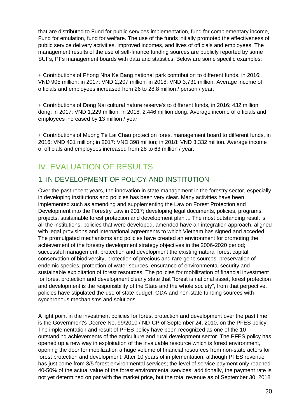that are distributed to Fund for public services implementation, fund for complementary income, Fund for emulation, fund for welfare. The use of the funds initially promoted the effectiveness of public service delivery activities, improved incomes, and lives of officials and employees. The management results of the use of self-finance funding sources are publicly reported by some SUFs, PFs management boards with data and statistics. Below are some specific examples:

+ Contributions of Phong Nha Ke Bang national park contribution to different funds, in 2016: VND 905 million; in 2017: VND 2,207 million; in 2018: VND 3,731 million. Average income of officials and employees increased from 26 to 28.8 million / person / year.

+ Contributions of Dong Nai cultural nature reserve's to different funds, in 2016: 432 million dong; in 2017: VND 1,229 million; in 2018: 2,446 million dong. Average income of officials and employees increased by 13 million / year.

+ Contributions of Muong Te Lai Chau protection forest management board to different funds, in 2016: VND 431 million; in 2017: VND 398 million; in 2018: VND 3,332 million. Average income of officials and employees increased from 28 to 63 million / year.

## <span id="page-19-0"></span>IV. EVALUATION OF RESULTS

## 1. IN DEVELOPMENT OF POLICY AND INSTITUTION

Over the past recent years, the innovation in state management in the forestry sector, especially in developing institutions and policies has been very clear. Many activities have been implemented such as amending and supplementing the Law on Forest Protection and Development into the Forestry Law in 2017; developing legal documents, policies, programs, projects, sustainable forest protection and development plan ... The most outstanding result is all the institutions, policies that were developed, amended have an integration approach, aligned with legal provisions and international agreements to which Vietnam has signed and acceded. The promulgated mechanisms and policies have created an environment for promoting the achievement of the forestry development strategy objectives in the 2006-2020 period; successful management, protection and development the existing natural forest capital, conservation of biodiversity, protection of precious and rare gene sources, preservation of endemic species, protection of water sources, ensurance of environmental security and sustainable exploitation of forest resources. The policies for mobilization of financial investment for forest protection and development clearly state that "forest is national asset, forest protection and development is the responsibility of the State and the whole society", from that perpective, policies have stipulated the use of state budget, ODA and non-state funding sources with synchronous mechanisms and solutions.

A light point in the investment policies for forest protection and development over the past time is the Government's Decree No. 99/2010 / ND-CP of September 24, 2010, on the PFES policy. The implementation and result of PFES policy have been recognized as one of the 10 outstanding achievements of the agriculture and rural development sector. The PFES policy has opened up a new way in exploitation of the invaluable resource which is forest environment, opening the door for mobilization a huge volume of financial resources from non-state actors for forest protection and development. After 10 years of implementation, although PFES revenue has just come from 3/5 forest environmental services; the level of service payment only reached 40-50% of the actual value of the forest environmental services, additionally, the payment rate is not yet determined on par with the market price, but the total revenue as of September 30, 2018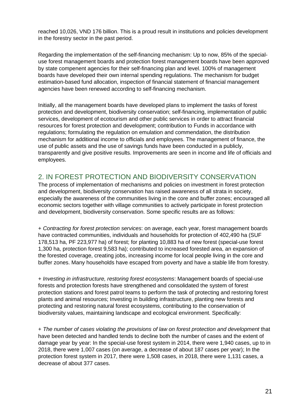reached 10,026, VND 176 billion. This is a proud result in institutions and policies development in the forestry sector in the past period.

Regarding the implementation of the self-financing mechanism: Up to now, 85% of the specialuse forest management boards and protection forest management boards have been approved by state compenent agencies for their self-financing plan and level. 100% of management boards have developed their own internal spending regulations. The mechanism for budget estimation-based fund allocation, inspection of financial statement of financial management agencies have been renewed according to self-financing mechanism.

Initially, all the management boards have developed plans to implement the tasks of forest protection and development, biodiversity conservation; self-financing, implementation of public services, development of ecotourism and other public services in order to attract financial resources for forest protection and development; contribution to Funds in accordance with regulations; formulating the regulation on emulation and commendation, the distribution mechanism for additional income to officials and employees. The management of finance, the use of public assets and the use of savings funds have been conducted in a publicly, transparently and give positive results. Improvements are seen in income and life of officials and employees.

### 2. IN FOREST PROTECTION AND BIODIVERSITY CONSERVATION

The process of implementation of mechanisms and policies on investment in forest protection and development, biodiversity conservation has raised awareness of all strata in society, especially the awareness of the communities living in the core and buffer zones; encouraged all economic sectors together with village communities to actively participate in forest protection and development, biodiversity conservation. Some specific results are as follows:

+ *Contracting for forest protection services*: on average, each year, forest management boards have contracted communities, individuals and households for protection of 402,490 ha (SUF 178,513 ha, PF 223,977 ha) of forest; for planting 10,883 ha of new forest (special-use forest 1,300 ha, protection forest 9,583 ha); contributed to increased forested area, an expansion of the forested coverage, creating jobs, increasing income for local people living in the core and buffer zones. Many households have escaped from poverty and have a stable life from forestry.

+ *Investing in infrastructure, restoring forest ecosystems*: Management boards of special-use forests and protection forests have strengthened and consolidated the system of forest protection stations and forest patrol teams to perform the task of protecting and restoring forest plants and animal resources; Investing in building infrastructure, planting new forests and protecting and restoring natural forest ecosystems, contributing to the conservation of biodiversity values, maintaining landscape and ecological environment. Specifically:

+ *The number of cases violating the provisions of law on forest protection and development* that have been detected and handled tends to decline both the number of cases and the extent of damage year by year: In the special-use forest system in 2014, there were 1,940 cases, up to in 2018, there were 1,007 cases (on average, a decrease of about 187 cases per year); In the protection forest system in 2017, there were 1,508 cases, in 2018, there were 1,131 cases, a decrease of about 377 cases.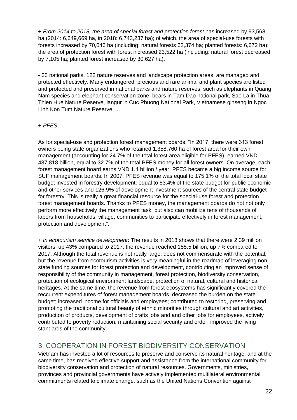+ *From 2014 to 2018, the area of special forest and protection forest* has increased by 93,568 ha (2014: 6,649,669 ha, in 2018: 6,743,237 ha); of which, the area of special-use forests with forests increased by 70,046 ha (including: natural forests 63,374 ha; planted forests: 6,672 ha); the area of protection forest with forest increased 23,522 ha (including: natural forest decreased by 7,105 ha; planted forest increased by 30,627 ha).

- 33 national parks, 122 nature reserves and landscape protection areas, are managed and protected effectively. Many endangered, precious and rare animal and plant species are listed and protected and preserved in national parks and nature reserves, such as elephants in Quang Nam species and elephant conservation zone, bears in Tam Dao national park, Sao La in Thua Thien Hue Nature Reserve, langur in Cuc Phuong National Park, Vietnamese ginseng in Ngoc Linh Kon Tum Nature Reserve, ...

#### + *PFES*:

As for special-use and protection forest management boards: "In 2017, there were 313 forest owners being state organizations who retained 1,358,760 ha of forest area for their own management (accounting for 24.7% of the total forest area eligible for PFES), earned VND 437,818 billion, equal to 32.7% of the total PFES money for all forest owners. On average, each forest management board earns VND 1.4 billion / year. PFES became a big income source for SUF management boards. In 2007, PFES revenue was equal to 175.1% of the total local state budget invested in forestry development; equal to 53.4% of the state budget for public economic and other services and 126.9% of development investment sources of the central state budget for forestry. This is really a great financial resource for the special-use forest and protection forest management boards. Thanks to PFES money, the management boards do not not only perform more effectively the management task, but also can mobilize tens of thousands of labors from households, village, communities to participate effectively in forest management, protection and development".

+ *In ecotourism service development*: The results in 2018 shows that there were 2.39 million visitors, up 43% compared to 2017, the revenue reached 155.5 billion, up 7% compared to 2017. Although the total revenue is not really large, does not commensurate with the potential, but the revenue from ecotourism activities is very meaningful in the roadmap of leveraging nonstate funding sources for forest protection and development, contributing an improved sense of responsibility of the community in management, forest protection, biodiversity conservation, protection of ecological environment landscape, protection of natural, cultural and historical heritages. At the same time, the revenue from forest ecosystems has significantly covered the reccurrent expenditures of forest management boards, decreased the burden on the state budget; increased income for officials and employees; contributed to restoring, preserving and promoting the traditional cultural beauty of ethnic minorities through cultural and art activities, production of products, development of crafts jobs and and other jobs for employees, actively contributed to poverty reduction, maintaining social security and order, improved the living standards of the community.

### 3. COOPERATION IN FOREST BIODIVERSITY CONSERVATION

Vietnam has invested a lot of resources to preserve and conserve its natural heritage, and at the same time, has received effective support and assistance from the international community for biodiversity conservation and protection of natural resources. Governments, ministries, provinces and provincial governments have actively implemented multilateral environmental commitments related to climate change, such as the United Nations Convention against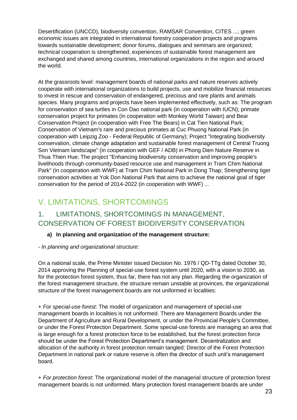Desertification (UNCCD), biodiversity convention, RAMSAR Convention, CITES ...; green economic issues are integrated in international forestry cooperation projects and programs towards sustainable development; donor forums, dialogues and seminars are organized; technical cooperation is strengthened, experiences of sustainable forest management are exchanged and shared among countries, international organizations in the region and around the world.

At the grassroots level: management boards of national parks and nature reserves actively cooperate with international organizations to build projects, use and mobilize financial resources to invest in rescue and conservation of endangered, precious and rare plants and animals species. Many programs and projects have been implemented effectively, such as: The program for conservation of sea turtles in Con Dao national park (in cooperation with IUCN); primate conservation project for primates (in cooperation with Monkey World Taiwan) and Bear Conservation Project (in cooperation with Free The Bears) in Cat Tien National Park; Conservation of Vietnam's rare and precious primates at Cuc Phuong National Park (in cooperation with Leipzig Zoo - Federal Republic of Germany); Project "Integrating biodiversity conservation, climate change adaptation and sustainable forest management of Central Truong Son Vietnam landscape" (in cooperation with GEF / ADB) in Phong Dien Nature Reserve in Thua Thien Hue; The project "Enhancing biodiversity conservation and improving people's livelihoods through community-based resource use and management in Tram Chim National Park" (in cooperation with WWF) at Tram Chim National Park in Dong Thap; Strengthening tiger conservation activities at Yok Don National Park that aims to achieve the national goal of tiger conservation for the period of 2014-2022 (in cooperation with WWF) ...

## <span id="page-22-0"></span>V. LIMITATIONS, SHORTCOMINGS

### 1. LIMITATIONS, SHORTCOMINGS IN MANAGEMENT, CONSERVATION OF FOREST BIODIVERSITY CONSERVATION

### **a) In planning and organization of the management structure:**

### *- In planning and organizational structure:*

On a national scale, the Prime Minister issued Decision No. 1976 / QD-TTg dated October 30, 2014 approving the Planning of special-use forest system until 2020, with a vision to 2030, as for the protection forest system, thus far, there has not any plan. Regarding the organization of the forest management structure, the structure remain unstable at provinces, the organizational structure of the forest management boards are not uniformed in localities:

+ *For special-use forest*: The model of organization and management of special-use management boards in localities is not uniformed. There are Management Boards under the Department of Agriculture and Rural Development, or under the Provincial People's Committee, or under the Forest Protection Department. Some special-use forests are managing an area that is large enough for a forest protection force to be established, but the forest protection force should be under the Forest Protection Department's management. Decentralization and allocation of the authority in forest protection remain tangled: Director of the Forest Protection Department in national park or nature reserve is often the director of such unit's management board.

+ *For protection forest*: The organizational model of the managerial structure of protection forest management boards is not uniformed. Many protection forest management boards are under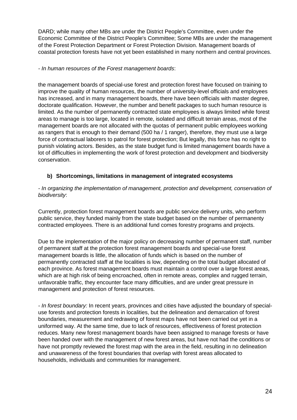DARD; while many other MBs are under the District People's Committee, even under the Economic Committee of the District People's Committee; Some MBs are under the management of the Forest Protection Department or Forest Protection Division. Management boards of coastal protection forests have not yet been established in many northern and central provinces.

#### *- In human resources of the Forest management boards*:

the management boards of special-use forest and protection forest have focused on training to improve the quality of human resources, the number of university-level officials and employees has increased, and in many management boards, there have been officials with master degree, doctorate qualification. However, the number and benefit packages to such human resource is limited. As the number of permanently contracted state employees is always limited while forest areas to manage is too large, located in remote, isolated and difficult terrain areas, most of the management boards are not allocated with the quotas of permanent public employees working as rangers that is enough to their demand (500 ha / 1 ranger), therefore, they must use a large force of contractual laborers to patrol for forest protection; But legally, this force has no right to punish violating actors. Besides, as the state budget fund is limited management boards have a lot of difficulties in implementing the work of forest protection and development and biodiversity conservation.

### **b) Shortcomings, limitations in management of integrated ecosystems**

#### *- In organizing the implementation of management, protection and development, conservation of biodiversity*:

Currently, protection forest management boards are public service delivery units, who perform public service, they funded mainly from the state budget based on the number of permanenty contracted employees. There is an additional fund comes forestry programs and projects.

Due to the implementation of the major policy on decreasing number of permanent staff, number of permanent staff at the protection forest management boards and special-use forest management boards is little, the allocation of funds which is based on the number of permanently contracted staff at the localities is low, depending on the total budget allocated of each province. As forest management boards must maintain a control over a large forest areas, which are at high risk of being encroached, often in remote areas, complex and rugged terrain, unfavorable traffic, they encounter face many difficulties, and are under great pressure in management and protection of forest resources.

*- In forest boundary:* In recent years, provinces and cities have adjusted the boundary of specialuse forests and protection forests in localities, but the delineation and demarcation of forest boundaries, measurement and redrawing of forest maps have not been carried out yet in a uniformed way. At the same time, due to lack of resources, effectiveness of forest protection reduces. Many new forest management boards have been assigned to manage forests or have been handed over with the management of new forest areas, but have not had the conditions or have not promptly reviewed the forest map with the area in the field, resulting in no delineation and unawareness of the forest boundaries that overlap with forest areas allocated to households, individuals and communities for management.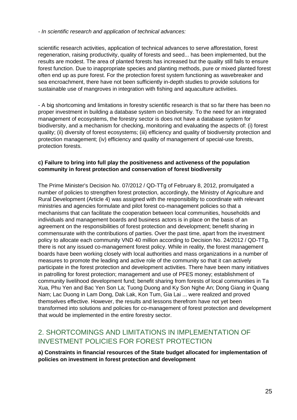*- In scientific research and application of technical advances:* 

scientific research activities, application of technical advances to serve afforestation, forest regeneration, raising productivity, quality of forests and seed... has been implemented, but the results are modest. The area of planted forests has increased but the quality still fails to ensure forest function. Due to inappropriate species and planting methods, pure or mixed planted forest often end up as pure forest. For the protection forest system functioning as wavebreaker and sea encroachment, there have not been sufficiently in-depth studies to provide solutions for sustainable use of mangroves in integration with fishing and aquaculture activities.

- A big shortcoming and limitations in forestry scientific research is that so far there has been no proper investment in building a database system on biodiversity. To the need for an integrated management of ecosystems, the forestry sector is does not have a database system for biodiversity, and a mechanism for checking, monitoring and evaluating the aspects of: (i) forest quality; (ii) diversity of forest ecosystems; (iii) efficiency and quality of biodiversity protection and protection management; (iv) efficiency and quality of management of special-use forests, protection forests.

### **c) Failure to bring into full play the positiveness and activeness of the population community in forest protection and conservation of forest biodiversity**

The Prime Minister's Decision No. 07/2012 / QD-TTg of February 8, 2012, promulgated a number of policies to strengthen forest protection, accordingly, the Ministry of Agriculture and Rural Development (Article 4) was assigned with the responsibility to coordinate with relevant ministries and agencies formulate and pilot forest co-management policies so that a mechanisms that can facilitate the cooperation between local communities, households and individuals and management boards and business actors is in place on the basis of an agreement on the responsibilities of forest protection and development; benefit sharing in commensurate with the contributions of parties. Over the past time, apart from the investment policy to allocate each community VND 40 million according to Decision No. 24/2012 / QD-TTg, there is not any issued co-management forest policy. While in reality, the forest management boards have been working closely with local authorities and mass organizations in a number of measures to promote the leading and active role of the community so that it can actively participate in the forest protection and development activities. There have been many initiatives in patrolling for forest protection; management and use of PFES money; establishment of community livelihood development fund; benefit sharing from forests of local communities in Ta Xua, Phu Yen and Bac Yen Son La; Tuong Duong and Ky Son Nghe An; Dong Giang in Quang Nam; Lac Duong in Lam Dong, Dak Lak, Kon Tum, Gia Lai ... were realized and proved themselves effective. However, the results and lessons therefrom have not yet been transformed into solutions and policies for co-management of forest protection and development that would be implemented in the entire forestry sector.

### 2. SHORTCOMINGS AND LIMITATIONS IN IMPLEMENTATION OF INVESTMENT POLICIES FOR FOREST PROTECTION

**a) Constraints in financial resources of the State budget allocated for implementation of policies on investment in forest protection and development**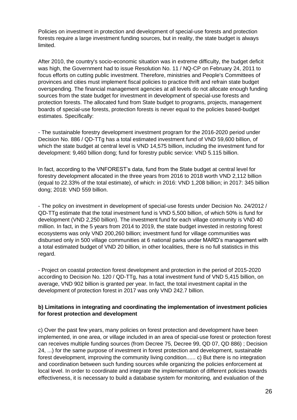Policies on investment in protection and development of special-use forests and protection forests require a large investment funding sources, but in reality, the state budget is always limited.

After 2010, the country's socio-economic situation was in extreme difficulty, the budget deficit was high, the Government had to issue Resolution No. 11 / NQ-CP on February 24, 2011 to focus efforts on cutting public investment. Therefore, ministries and People's Committees of provinces and cities must implement fiscal policies to practice thrift and refrain state budget overspending. The financial management agencies at all levels do not allocate enough funding sources from the state budget for investment in development of special-use forests and protection forests. The allocated fund from State budget to programs, projects, management boards of special-use forests, protection forests is never equal to the policies based-budget estimates. Specifically:

- The sustainable forestry development investment program for the 2016-2020 period under Decision No. 886 / QD-TTg has a total estimated investment fund of VND 59,600 billion, of which the state budget at central level is VND 14,575 billion, including the investment fund for development: 9,460 billion dong; fund for forestry public service: VND 5.115 billion.

In fact, according to the VNFOREST's data, fund from the State budget at central level for forestry development allocated in the three years from 2016 to 2018 worth VND 2,112 billion (equal to 22.33% of the total estimate), of which: in 2016: VND 1,208 billion; in 2017: 345 billion dong; 2018: VND 559 billion.

- The policy on investment in development of special-use forests under Decision No. 24/2012 / QD-TTg estimate that the total investment fund is VND 5,500 billion, of which 50% is fund for development (VND 2,250 billion). The investment fund for each village community is VND 40 million. In fact, in the 5 years from 2014 to 2019, the state budget invested in restoring forest ecosystems was only VND 200,260 billion; investment fund for village communities was disbursed only in 500 village communities at 6 national parks under MARD's management with a total estimated budget of VND 20 billion, in other localities, there is no full statistics in this regard.

- Project on coastal protection forest development and protection in the period of 2015-2020 according to Decision No. 120 / QD-TTg, has a total investment fund of VND 5,415 billion, on average, VND 902 billion is granted per year. In fact, the total investment capital in the development of protection forest in 2017 was only VND 242.7 billion.

#### **b) Limitations in integrating and coordinating the implementation of investment policies for forest protection and development**

c) Over the past few years, many policies on forest protection and development have been implemented, in one area, or village included in an area of special-use forest or protection forest can receives multiple funding sources (from Decree 75, Decree 99, QD 07, QD 886) ; Decision 24, ...) for the same purpose of investment in forest protection and development, sustainable forest development, improving the community living condition...... c) But there is no integration and coordination between such funding sources while organizing the policies enforcement at local level. In order to coordinate and integrate the implementation of different policies towards effectiveness, it is necessary to build a database system for monitoring, and evaluation of the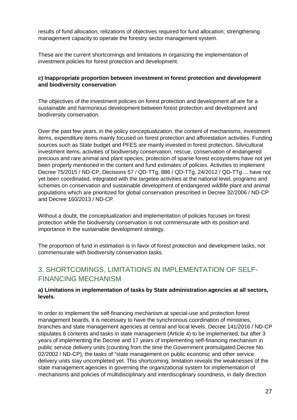results of fund allocation, relizations of objectives required for fund allocation; strengthening management capacity to operate the forestry sector management system.

These are the current shortcomings and limitations in organizing the implementation of investment policies for forest protection and development.

### **c) Inappropriate proportion between investment in forest protection and development and biodiversity conservation**

The objectives of the investment policies on forest protection and development all are for a sustainable and harmonious development between forest protection and development and biodiversity conservation.

Over the past few years, in the policy conceptualization, the content of mechanisms, investment items, expenditure items mainly focused on forest protection and afforestation activities. Funding sources such as State budget and PFES are mainly invested in forest protection. Silvicultural investment items, activities of biodiversity conservation, rescue, conservation of endangered precious and rare animal and plant species, protection of sparse forest ecosystems have not yet been properly mentioned in the content and fund estimates of policies. Activities to implement Decree 75/2015 / ND-CP, Decisions 57 / QD-TTg, 886 / QD-TTg, 24/2012 / QD-TTg ... have not yet been coordinated, integrated with the targetee activities at the national level, programs and schemes on conservation and sustainable development of endangered wildlife plant and animal populations which are prioritized for global conservation prescribed in Decree 32/2006 / ND-CP and Decree 160/2013 / ND-CP.

Without a doubt, the conceptualization and implementation of policies focuses on forest protection while the biodiversity conservation is not commensurate with its position and importance in the sustainable development strategy.

The proportion of fund in estimation is in favor of forest protection and development tasks, not commensurate with biodiversity conservation tasks.

### 3. SHORTCOMINGS, LIMITATIONS IN IMPLEMENTATION OF SELF-FINANCING MECHANISM

### **a) Limitations in implementation of tasks by State administration agencies at all sectors, levels.**

In order to implement the self-financing mechanism at special-use and protection forest management boards, it is necessary to have the synchronous coordination of ministries, branches and state management agencies at central and local levels. Decree 141/2016 / ND-CP stipulates 8 contents and tasks in state management (Article 4) to be implemented, but after 3 years of implementing the Decree and 17 years of implementing self-financing mechanism in public service delivery units (counting from the time the Government promulgated Decree No. 02/2002 / ND-CP), the tasks of "state management on public economic and other service delivery units stay uncompleted yet. This shortcoming, limitation reveals the weaknesses of the state management agencies in governing the organizational system for implementation of mechanisms and policies of multidisciplinary and interdisciplinary soundness, in daily direction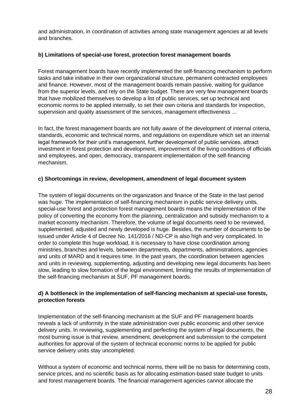and administration, in coordination of activities among state management agencies at all levels and branches.

### **b) Limitations of special-use forest, protection forest management boards**

Forest management boards have recently implemented the self-financing mechanism to perform tasks and take initiative in their own organizational structure, permanent contracted employees and finance. However, most of the management boards remain passive, waiting for guidance from the superior levels, and rely on the State budget. There are very few management boards that have mobilized themselves to develop a list of public services, set up technical and economic norms to be applied internally, to set their own criteria and standards for inspection, supervision and quality assessment of the services, management effectiveness ...

In fact, the forest management boards are not fully aware of the development of internal criteria, standards, economic and technical norms, and regulations on expenditure which set an internal legal framework for their unit's management, further development of public services, attract investment in forest protection and development, improvement of the living conditions of officials and employees, and open, democracy, transparent implementation of the self-financing mechanism.

#### **c) Shortcomings in review, development, amendment of legal document system**

The system of legal documents on the organization and finance of the State in the last period was huge. The implementation of self-financing mechanism in public service delivery units, special-use forest and protection forest management boards means the implementation of the policy of converting the economy from the planning, centralization and subsidy mechanism to a market economy mechanism. Therefore, the volume of legal documents need to be reviewed, supplemented, adjusted and newly developed is huge. Besides, the number of documents to be issued under Article 4 of Decree No. 141/2016 / ND-CP is also high and very complicated. In order to complete this huge workload, it is necessary to have close coordination among ministries, branches and levels, between departments, departments, administrations, agencies and units of MARD and it requires time. In the past years, the coordination between agencies and units in reviewing, supplementing, adjusting and developing new legal documents has been slow, leading to slow formation of the legal environment, limiting the results of implementation of the self-financing mechanism at SUF, PF management boards.

### **d) A bottleneck in the implementation of self-fiancing mechanism at special-use forests, protection forests**

Implementation of the self-financing mechanism at the SUF and PF management boards reveals a lack of uniformity in the state administration over public economic and other service delivery units. In reviewing, supplementing and perfecting the system of legal documents, the most burning issue is that review, amendment, development and submission to the competent authorities for approval of the system of technical economic norms to be applied for public service delivery units stay uncompleted.

Without a system of economic and technical norms, there will be no basis for determining costs, service prices, and no scientific basis as for allocating estimation-based state budget to units and forest management boards. The financial management agencies cannot allocate the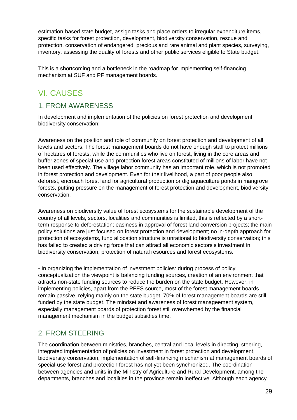estimation-based state budget, assign tasks and place orders to irregular expenditure items, specific tasks for forest protection, development, biodiversity conservation, rescue and protection, conservation of endangered, precious and rare animal and plant species, surveying, inventory, assessing the quality of forests and other public services eligible to State budget.

This is a shortcoming and a bottleneck in the roadmap for implementing self-financing mechanism at SUF and PF management boards.

## <span id="page-28-0"></span>VI. CAUSES

### 1. FROM AWARENESS

In development and implementation of the policies on forest protection and development, biodiversity conservation:

Awareness on the position and role of community on forest protection and development of all levels and sectors. The forest management boards do not have enough staff to protect millions of hectares of forests, while the communities who live on forest, living in the core areas and buffer zones of special-use and protection forest areas constituted of millions of labor have not been used effectively. The village labor community has an important role, which is not promoted in forest protection and development. Even for their livelihood, a part of poor people also deforest, encroach forest land for agricultural production or dig aquaculture ponds in mangrove forests, putting pressure on the management of forest protection and development, biodiversity conservation.

Awareness on biodiversity value of forest ecosystems for the sustainable development of the country of all levels, sectors, localities and communities is limited, this is reflected by a shortterm response to deforestation; easiness in approval of forest land conversion projects; the main policy solutions are just focused on forest protection and development; no in-depth approach for protection of ecosystems, fund allocation structure is unrational to biodiversity conservation; this has failed to created a driving force that can attract all economic sectors's investment in biodiversity conservation, protection of natural resources and forest ecosystems.

**-** In organizing the implementation of investment policies: during process of policy conceptualization the viewpoint is balancing funding sources, creation of an environment that attracts non-state funding sources to reduce the burden on the state budget. However, in implementing policies, apart from the PFES source, most of the forest management boards remain passive, relying mainly on the state budget. 70% of forest management boards are still funded by the state budget. The mindset and awareness of forest manageement system, especially management boards of protection forest still overwhemed by the financial management mechanism in the budget subsidies time.

### 2. FROM STEERING

The coordination between ministries, branches, central and local levels in directing, steering, integrated implementation of policies on investment in forest protection and development, biodiversity conservation, implementation of self-financing mechanism at management boards of special-use forest and protection forest has not yet been synchronized. The coordination between agencies and units in the Ministry of Agriculture and Rural Development, among the departments, branches and localities in the province remain ineffective. Although each agency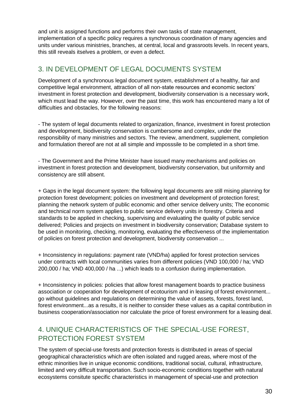and unit is assigned functions and performs their own tasks of state management, implementation of a specific policy requires a synchronous coordination of many agencies and units under various ministries, branches, at central, local and grassroots levels. In recent years, this still reveals itselves a problem, or even a defect.

### 3. IN DEVELOPMENT OF LEGAL DOCUMENTS SYSTEM

Development of a synchronous legal document system, establishment of a healthy, fair and competitive legal environment, attraction of all non-state resources and economic sectors' investment in forest protection and development, biodiversity conservation is a necessary work, which must lead the way. However, over the past time, this work has encountered many a lot of difficulties and obstacles, for the following reasons:

- The system of legal documents related to organization, finance, investment in forest protection and development, biodiversity conservation is cumbersome and complex, under the responsibility of many ministries and sectors. The review, amendment, supplement, completion and formulation thereof are not at all simple and imposssile to be completed in a short time.

- The Government and the Prime Minister have issued many mechanisms and policies on investment in forest protection and development, biodiversity conservation, but uniformity and consistency are still absent.

+ Gaps in the legal document system: the following legal documents are still mising planning for protection forest development; policies on investment and development of protection forest; planning the network system of public economic and other service delivery units; The economic and technical norm system applies to public service delivery units in forestry. Criteria and standards to be applied in checking, supervising and evaluating the quality of public service delivered; Policies and projects on investment in biodiversity conservation; Database system to be used in monitoring, checking, monitoring, evaluating the effectiveness of the implementation of policies on forest protection and development, biodiversity conservation ...

+ Inconsistency in regulations: payment rate (VND/ha) applied for forest protection services under contracts with local communities varies from different policies (VND 100,000 / ha; VND 200,000 / ha; VND 400,000 / ha ...) which leads to a confusion during implementation.

+ Inconsistency in policies: policies that allow forest management boards to practice business association or cooperation for development of ecotourism and in leasing of forest environment... go without guidelines and regulations on determining the value of assets, forests, forest land, forest environment...as a results, it is neither to consider these values as a capital contribution in business cooperation/association nor calculate the price of forest environment for a leasing deal.

### 4. UNIQUE CHARACTERISTICS OF THE SPECIAL-USE FOREST, PROTECTION FOREST SYSTEM

The system of special-use forests and protection forests is distributed in areas of special geographical characteristics which are often isolated and rugged areas, where most of the ethnic minorities live in unique economic conditions, traditional social, cultural, infrastructure, limited and very difficult transportation. Such socio-economic conditions together with natural ecosystems consitute specific characteristics in management of special-use and protection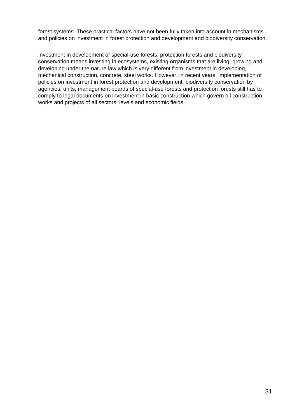forest systems. These practical factors have not been fully taken into account in mechanisms and policies on investment in forest protection and development and biodiversity conservation.

Investment in development of special-use forests, protection forests and biodiversity conservation means investing in ecosystems, existing organisms that are living, growing and developing under the nature law which is very different from investment in developing, mechanical construction, concrete, steel works. However, in recent years, implementation of policies on investment in forest protection and development, biodiversity conservation by agencies, units, management boards of special-use forests and protection forests still has to comply to legal documents on investment in basic construction which govern all construction works and projects of all sectors, levels and economic fields.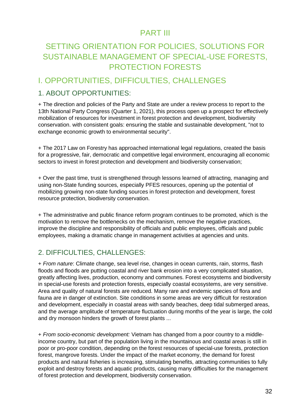## PART III

## <span id="page-31-1"></span><span id="page-31-0"></span>SETTING ORIENTATION FOR POLICIES, SOLUTIONS FOR SUSTAINABLE MANAGEMENT OF SPECIAL-USE FORESTS, PROTECTION FORESTS

### <span id="page-31-2"></span>I. OPPORTUNITIES, DIFFICULTIES, CHALLENGES

### 1. ABOUT OPPORTUNITIES:

+ The direction and policies of the Party and State are under a review process to report to the 13th National Party Congress (Quarter 1, 2021), this process open up a prospect for effectively mobilization of resources for investment in forest protection and development, biodiversity conservation. with consistent goals: ensuring the stable and sustainable development, "not to exchange economic growth to environmental security".

+ The 2017 Law on Forestry has approached international legal regulations, created the basis for a progressive, fair, democratic and competitive legal environment, encouraging all economic sectors to invest in forest protection and development and biodiversity conservation;

+ Over the past time, trust is strengthened through lessons learned of attracting, managing and using non-State funding sources, especially PFES resources, opening up the potential of mobilizing growing non-state funding sources in forest protection and development, forest resource protection, biodiversity conservation.

+ The administrative and public finance reform program continues to be promoted, which is the motivation to remove the bottlenecks on the mechanism, remove the negative practices, improve the discipline and responsibility of officials and public employees, officials and public employees, making a dramatic change in management activities at agencies and units.

### 2. DIFFICULTIES, CHALLENGES:

+ *From nature*: Climate change, sea level rise, changes in ocean currents, rain, storms, flash floods and floods are putting coastal and river bank erosion into a very complicated situation, greatly affecting lives, production, economy and communes. Forest ecosystems and biodiversity in special-use forests and protection forests, especially coastal ecosystems, are very sensitive. Area and quality of natural forests are reduced. Many rare and endemic species of flora and fauna are in danger of extinction. Site conditions in some areas are very difficult for restoration and development, especially in coastal areas with sandy beaches, deep tidal submerged areas, and the average amplitude of temperature fluctuation during months of the year is large, the cold and dry monsoon hinders the growth of forest plants ...

+ *From socio-economic development:* Vietnam has changed from a poor country to a middleincome country, but part of the population living in the mountainous and coastal areas is still in poor or pro-poor condition, depending on the forest resources of special-use forests, protection forest, mangrove forests. Under the impact of the market economy, the demand for forest products and natural fisheries is increasing, stimulating benefits, attracting communities to fully exploit and destroy forests and aquatic products, causing many difficulties for the management of forest protection and development, biodiversity conservation.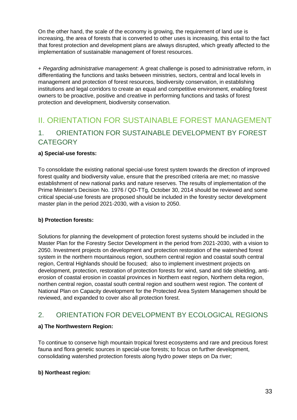On the other hand, the scale of the economy is growing, the requirement of land use is increasing, the area of forests that is converted to other uses is increasing, this entail to the fact that forest protection and development plans are always disrupted, which greatly affected to the implementation of sustainable management of forest resources.

+ *Regarding administrative management*: A great challenge is posed to administrative reform, in differentiating the functions and tasks between ministries, sectors, central and local levels in management and protection of forest resources, biodiversity conservation, in establishing institutions and legal corridors to create an equal and competitive environment, enabling forest owners to be proactive, positive and creative in performing functions and tasks of forest protection and development, biodiversity conservation.

## <span id="page-32-0"></span>II. ORIENTATION FOR SUSTAINABLE FOREST MANAGEMENT 1. ORIENTATION FOR SUSTAINABLE DEVELOPMENT BY FOREST **CATEGORY**

### **a) Special-use forests:**

To consolidate the existing national special-use forest system towards the direction of improved forest quality and biodiversity value, ensure that the prescribed criteria are met; no massive establishment of new national parks and nature reserves. The results of implementation of the Prime Minister's Decision No. 1976 / QD-TTg, October 30, 2014 should be reviewed and some critical special-use forests are proposed should be included in the forestry sector development master plan in the period 2021-2030, with a vision to 2050.

#### **b) Protection forests:**

Solutions for planning the development of protection forest systems should be included in the Master Plan for the Forestry Sector Development in the period from 2021-2030, with a vision to 2050. Investment projects on development and protection restoration of the watershed forest system in the northern mountainous region, southern central region and coastal south central region, Central Highlands should be focused; also to implement investment projects on development, protection, restoration of protection forests for wind, sand and tide shielding, antierosion of coastal erosion in coastal provinces in Northern east region, Northern delta region, northen central region, coastal south central region and southern west region. The content of National Plan on Capacity development for the Protected Area System Managemen should be reviewed, and expanded to cover also all protection forest.

### 2. ORIENTATION FOR DEVELOPMENT BY ECOLOGICAL REGIONS

### **a) The Northwestern Region:**

To continue to conserve high mountain tropical forest ecosystems and rare and precious forest fauna and flora genetic sources in special-use forests; to focus on further development, consolidating watershed protection forests along hydro power steps on Da river;

#### **b) Northeast region:**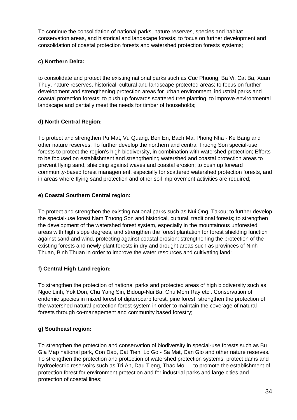To continue the consolidation of national parks, nature reserves, species and habitat conservation areas, and historical and landscape forests; to focus on further development and consolidation of coastal protection forests and watershed protection forests systems;

### **c) Northern Delta:**

to consolidate and protect the existing national parks such as Cuc Phuong, Ba Vi, Cat Ba, Xuan Thuy, nature reserves, historical, cultural and landscape protected areas; to focus on further development and strengthening protection areas for urban environment, industrial parks and coastal protection forests; to push up forwards scattered tree planting, to improve environmental landscape and partially meet the needs for timber of households;

### **d) North Central Region:**

To protect and strengthen Pu Mat, Vu Quang, Ben En, Bach Ma, Phong Nha - Ke Bang and other nature reserves. To further develop the northern and central Truong Son special-use forests to protect the region's high biodiversity, in combination with watershed protection; Efforts to be focused on establishment and strengthening watershed and coastal protection areas to prevent flying sand, shielding against waves and coastal erosion; to push up forward community-based forest management, especially for scattered watershed protection forests, and in areas where flying sand protection and other soil improvement activities are required;

### **e) Coastal Southern Central region:**

To protect and strengthen the existing national parks such as Nui Ong, Takou; to further develop the special-use forest Nam Truong Son and historical, cultural, traditional forests; to strengthen the development of the watershed forest system, especially in the mountainous unforested areas with high slope degrees, and strengthen the forest plantation for forest shielding function against sand and wind, protecting against coastal erosion; strengthening the protection of the existing forests and newly plant forests in dry and drought areas such as provinces of Ninh Thuan, Binh Thuan in order to improve the water resources and cultivating land;

### **f) Central High Land region:**

To strengthen the protection of national parks and protected areas of high biodiversity such as Ngoc Linh, Yok Don, Chu Yang Sin, Bidoup-Nui Ba, Chu Mom Ray etc...Conservation of endemic species in mixed forest of dipterocarp forest, pine forest; strengthen the protection of the watershed natural protection forest system in order to maintain the coverage of natural forests through co-management and community based forestry;

### **g) Southeast region:**

To *s*trengthen the protection and conservation of biodiversity in special-use forests such as Bu Gia Map national park, Con Dao, Cat Tien, Lo Go - Sa Mat, Can Gio and other nature reserves. To strengthen the protection and protection of watershed protection systems, protect dams and hydroelectric reservoirs such as Tri An, Dau Tieng, Thac Mo .... to promote the establishment of protection forest for environment protection and for industrial parks and large cities and protection of coastal lines;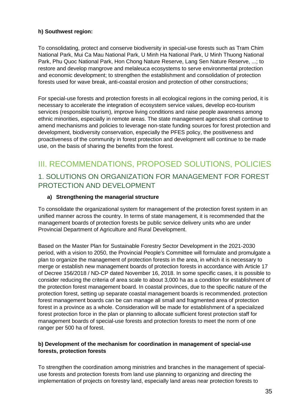### **h) Southwest region:**

To consolidating, protect and conserve biodiversity in special-use forests such as Tram Chim National Park, Mui Ca Mau National Park, U Minh Ha National Park, U Minh Thuong National Park, Phu Quoc National Park, Hon Chong Nature Reserve, Lang Sen Nature Reserve, ...; to restore and develop mangrove and melaleuca ecosystems to serve environmental protection and economic development; to strengthen the establishment and consolidation of protection forests used for wave break, anti-coastal erosion and protection of other constructions;

For special-use forests and protection forests in all ecological regions in the coming period, it is necessary to accelerate the integration of ecosystem service values, develop eco-tourism services (responsible tourism), improve living conditions and raise people awareness among ethnic minorities, especially in remote areas. The state management agencies shall continue to amend mechanisms and policies to leverage non-state funding sources for forest protection and development, biodiversity conservation, especially the PFES policy, the positiveness and proactiveness of the community in forest protection and development will continue to be made use, on the basis of sharing the benefits from the forest.

## <span id="page-34-0"></span>III. RECOMMENDATIONS, PROPOSED SOLUTIONS, POLICIES 1. SOLUTIONS ON ORGANIZATION FOR MANAGEMENT FOR FOREST PROTECTION AND DEVELOPMENT

#### **a) Strengthening the managerial structure**

To consolidate the organizational system for management of the protection forest system in an unified manner across the country. In terms of state management, it is recommended that the management boards of protection forests be public service delivery units who are under Provincial Department of Agriculture and Rural Development.

Based on the Master Plan for Sustainable Forestry Sector Development in the 2021-2030 period, with a vision to 2050, the Provincial People's Committee will formulate and promulgate a plan to organize the management of protection forests in the area, in which it is necessary to merge or establish new management boards of protection forests in accordance with Article 17 of Decree 156/2018 / ND-CP dated November 16, 2018. In some specific cases, it is possible to consider reducing the criteria of area scale to about 3,000 ha as a condition for establishment of the protection forest management board. In coastal provinces, due to the specific nature of the protection forest, setting up separate coastal management boards is recommended. protection forest management boards can be can manage all small and fragmented area of protection forest in a province as a whole. Consideration will be made for establishment of a specialized forest protection force in the plan or planning to allocate sufficient forest protection staff for management boards of special-use forests and protection forests to meet the norm of one ranger per 500 ha of forest.

#### **b) Development of the mechanism for coordination in management of special-use forests, protection forests**

To strengthen the coordination among ministries and branches in the management of specialuse forests and protection forests from land use planning to organizing and directing the implementation of projects on forestry land, especially land areas near protection forests to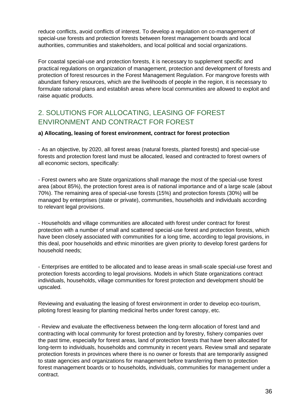reduce conflicts, avoid conflicts of interest. To develop a regulation on co-management of special-use forests and protection forests between forest management boards and local authorities, communities and stakeholders, and local political and social organizations.

For coastal special-use and protection forests, it is necessary to supplement specific and practical regulations on organization of management, protection and development of forests and protection of forest resources in the Forest Management Regulation. For mangrove forests with abundant fishery resources, which are the livelihoods of people in the region, it is necessary to formulate rational plans and establish areas where local communities are allowed to exploit and raise aquatic products.

### 2. SOLUTIONS FOR ALLOCATING, LEASING OF FOREST ENVIRONMENT AND CONTRACT FOR FOREST

#### **a) Allocating, leasing of forest environment, contract for forest protection**

- As an objective, by 2020, all forest areas (natural forests, planted forests) and special-use forests and protection forest land must be allocated, leased and contracted to forest owners of all economic sectors, specifically:

- Forest owners who are State organizations shall manage the most of the special-use forest area (about 85%), the protection forest area is of national importance and of a large scale (about 70%). The remaining area of special-use forests (15%) and protection forests (30%) will be managed by enterprises (state or private), communities, households and individuals according to relevant legal provisions.

- Households and village communities are allocated with forest under contract for forest protection with a number of small and scattered special-use forest and protection forests, which have been closely associated with communities for a long time, according to legal provisions, in this deal, poor households and ethnic minorities are given priority to develop forest gardens for household needs;

- Enterprises are entitled to be allocated and to lease areas in small-scale special-use forest and protection forests according to legal provisions. Models in which State organizations contract individuals, households, village communities for forest protection and development should be upscaled.

Reviewing and evaluating the leasing of forest environment in order to develop eco-tourism, piloting forest leasing for planting medicinal herbs under forest canopy, etc.

- Review and evaluate the effectiveness between the long-term allocation of forest land and contracting with local community for forest protection and by forestry, fishery companies over the past time, especially for forest areas, land of protection forests that have been allocated for long-term to individuals, households and community in recent years. Review small and separate protection forests in provinces where there is no owner or forests that are temporarily assigned to state agencies and organizations for management before transferring them to protection forest management boards or to households, individuals, communities for management under a contract.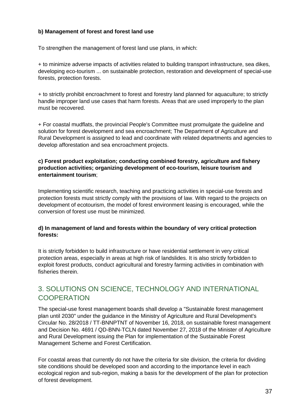### **b) Management of forest and forest land use**

To strengthen the management of forest land use plans, in which:

+ to minimize adverse impacts of activities related to building transport infrastructure, sea dikes, developing eco-tourism ... on sustainable protection, restoration and development of special-use forests, protection forests.

+ to strictly prohibit encroachment to forest and forestry land planned for aquaculture; to strictly handle improper land use cases that harm forests. Areas that are used improperly to the plan must be recovered.

+ For coastal mudflats, the provincial People's Committee must promulgate the guideline and solution for forest development and sea encroachment; The Department of Agriculture and Rural Development is assigned to lead and coordinate with related departments and agencies to develop afforestation and sea encroachment projects.

### **c) Forest product exploitation; conducting combined forestry, agriculture and fishery production activities; organizing development of eco-tourism, leisure tourism and entertainment tourism**;

Implementing scientific research, teaching and practicing activities in special-use forests and protection forests must strictly comply with the provisions of law. With regard to the projects on development of ecotourism, the model of forest environment leasing is encouraged, while the conversion of forest use must be minimized.

#### **d) In management of land and forests within the boundary of very critical protection forests:**

It is strictly forbidden to build infrastructure or have residential settlement in very critical protection areas, especially in areas at high risk of landslides. It is also strictly forbidden to exploit forest products, conduct agricultural and forestry farming activities in combination with fisheries therein.

### 3. SOLUTIONS ON SCIENCE, TECHNOLOGY AND INTERNATIONAL **COOPERATION**

The special-use forest management boards shall develop a "Sustainable forest management plan until 2030" under the guidance in the Ministry of Agriculture and Rural Development's Circular No. 28/2018 / TT-BNNPTNT of November 16, 2018, on sustainable forest management and Decision No. 4691 / QD-BNN-TCLN dated November 27, 2018 of the Minister of Agriculture and Rural Development issuing the Plan for implementation of the Sustainable Forest Management Scheme and Forest Certification.

For coastal areas that currently do not have the criteria for site division, the criteria for dividing site conditions should be developed soon and according to the importance level in each ecological region and sub-region, making a basis for the development of the plan for protection of forest development.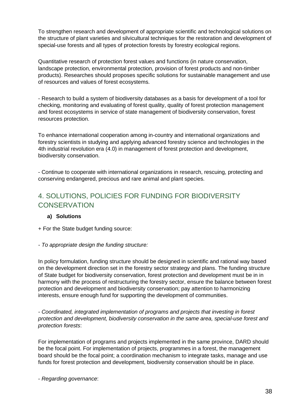To strengthen research and development of appropriate scientific and technological solutions on the structure of plant varieties and silvicultural techniques for the restoration and development of special-use forests and all types of protection forests by forestry ecological regions.

Quantitative research of protection forest values and functions (in nature conservation, landscape protection, environmental protection, provision of forest products and non-timber products). Researches should proposes specific solutions for sustainable management and use of resources and values of forest ecosystems.

- Research to build a system of biodiversity databases as a basis for development of a tool for checking, monitoring and evaluating of forest quality, quality of forest protection management and forest ecosystems in service of state management of biodiversity conservation, forest resources protection.

To enhance international cooperation among in-country and international organizations and forestry scientists in studying and applying advanced forestry science and technologies in the 4th industrial revolution era (4.0) in management of forest protection and development, biodiversity conservation.

- Continue to cooperate with international organizations in research, rescuing, protecting and conserving endangered, precious and rare animal and plant species.

### 4. SOLUTIONS, POLICIES FOR FUNDING FOR BIODIVERSITY **CONSERVATION**

### **a) Solutions**

+ For the State budget funding source:

### *- To appropriate design the funding structure:*

In policy formulation, funding structure should be designed in scientific and rational way based on the development direction set in the forestry sector strategy and plans. The funding structure of State budget for biodiversity conservation, forest protection and development must be in in harmony with the process of restructuring the forestry sector, ensure the balance between forest protection and development and biodiversity conservation; pay attention to harmonizing interests, ensure enough fund for supporting the development of communities.

*- Coordinated, integrated implementation of programs and projects that investing in forest protection and development, biodiversity conservation in the same area, special-use forest and protection forests*:

For implementation of programs and projects implemented in the same province, DARD should be the focal point. For implementation of projects, programmes in a forest, the management board should be the focal point; a coordination mechanism to integrate tasks, manage and use funds for forest protection and development, biodiversity conservation should be in place.

- *Regarding governance*: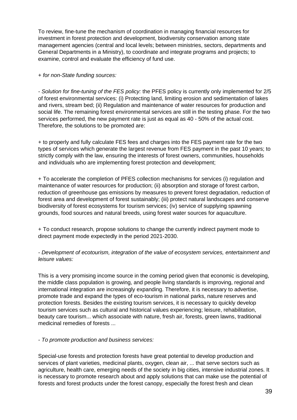To review, fine-tune the mechanism of coordination in managing financial resources for investment in forest protection and development, biodiversity conservation among state management agencies (central and local levels; between ministries, sectors, departments and General Departments in a Ministry), to coordinate and integrate programs and projects; to examine, control and evaluate the efficiency of fund use.

#### + *for non-State funding sources:*

*- Solution for fine-tuning of the FES policy:* the PFES policy is currently only implemented for 2/5 of forest environmental services: (i) Protecting land, limiting erosion and sedimentation of lakes and rivers, stream bed; (ii) Regulation and maintenance of water resources for production and social life. The remaining forest environmental services are still in the testing phase. For the two services performed, the new payment rate is just as equal as 40 - 50% of the actual cost. Therefore, the solutions to be promoted are:

+ to properly and fully calculate FES fees and charges into the FES payment rate for the two types of services which generate the largest revenue from FES payment in the past 10 years; to strictly comply with the law, ensuring the interests of forest owners, communities, households and individuals who are implementing forest protection and development;

+ To accelerate the completion of PFES collection mechanisms for services (i) regulation and maintenance of water resources for production; (ii) absorption and storage of forest carbon, reduction of greenhouse gas emissions by measures to prevent forest degradation, reduction of forest area and development of forest sustainably; (iii) protect natural landscapes and conserve biodiversity of forest ecosystems for tourism services; (iv) service of supplying spawning grounds, food sources and natural breeds, using forest water sources for aquaculture.

+ To conduct research, propose solutions to change the currently indirect payment mode to direct payment mode expectedly in the period 2021-2030.

*- Development of ecotourism, integration of the value of ecosystem services, entertainment and leisure values:* 

This is a very promising income source in the coming period given that economic is developing, the middle class population is growing, and people living standards is improving, regional and international integration are increasingly expanding. Therefore, it is necessary to advertise, promote trade and expand the types of eco-tourism in national parks, nature reserves and protection forests. Besides the existing tourism services, it is necessary to quickly develop tourism services such as cultural and historical values experiencing; leisure, rehabilitation, beauty care tourism... which associate with nature, fresh air, forests, green lawns, traditional medicinal remedies of forests ...

*- To promote production and business services:* 

Special-use forests and protection forests have great potential to develop production and services of plant varieties, medicinal plants, oxygen, clean air, ... that serve sectors such as agriculture, health care, emerging needs of the society in big cities, intensive industrial zones. It is necessary to promote research about and apply solutions that can make use the potential of forests and forest products under the forest canopy, especially the forest fresh and clean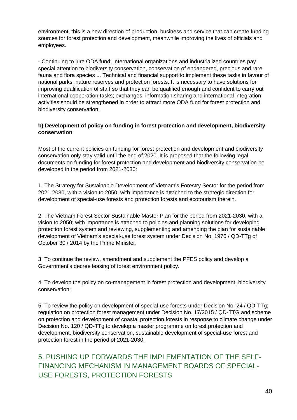environment, this is a new direction of production, business and service that can create funding sources for forest protection and development, meanwhile improving the lives of officials and employees.

- Continuing to lure ODA fund: International organizations and industrialized countries pay special attention to biodiversity conservation, conservation of endangered, precious and rare fauna and flora species ... Technical and financial support to implement these tasks in favour of national parks, nature reserves and protection forests. It is necessary to have solutions for improving qualification of staff so that they can be qualified enough and confident to carry out international cooperation tasks; exchanges, information sharing and international integration activities should be strengthened in order to attract more ODA fund for forest protection and biodiversity conservation.

### **b) Development of policy on funding in forest protection and development, biodiversity conservation**

Most of the current policies on funding for forest protection and development and biodiversity conservation only stay valid until the end of 2020. It is proposed that the following legal documents on funding for forest protection and development and biodiversity conservation be developed in the period from 2021-2030:

1. The Strategy for Sustainable Development of Vietnam's Forestry Sector for the period from 2021-2030, with a vision to 2050, with importance is attached to the strategic direction for development of special-use forests and protection forests and ecotourism therein.

2. The Vietnam Forest Sector Sustainable Master Plan for the period from 2021-2030, with a vision to 2050; with importance is attached to policies and planning solutions for developing protection forest system and reviewing, supplementing and amending the plan for sustainable development of Vietnam's special-use forest system under Decision No. 1976 / QD-TTg of October 30 / 2014 by the Prime Minister.

3. To continue the review, amendment and supplement the PFES policy and develop a Government's decree leasing of forest environment policy.

4. To develop the policy on co-management in forest protection and development, biodiversity conservation;

5. To review the policy on development of special-use forests under Decision No. 24 / QD-TTg; regulation on protection forest management under Decision No. 17/2015 / QD-TTG and scheme on protection and development of coastal protection forests in response to climate change under Decision No. 120 / QD-TTg to develop a master programme on forest protection and development, biodiversity conservation, sustainable development of special-use forest and protection forest in the period of 2021-2030.

### 5. PUSHING UP FORWARDS THE IMPLEMENTATION OF THE SELF-FINANCING MECHANISM IN MANAGEMENT BOARDS OF SPECIAL-USE FORESTS, PROTECTION FORESTS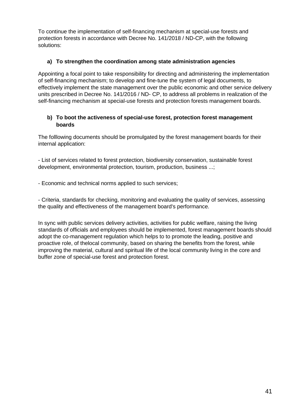To continue the implementation of self-financing mechanism at special-use forests and protection forests in accordance with Decree No. 141/2018 / ND-CP, with the following solutions:

### **a) To strengthen the coordination among state administration agencies**

Appointing a focal point to take responsibility for directing and administering the implementation of self-financing mechanism; to develop and fine-tune the system of legal documents, to effectively implement the state management over the public economic and other service delivery units prescribed in Decree No. 141/2016 / ND- CP, to address all problems in realization of the self-financing mechanism at special-use forests and protection forests management boards.

### **b) To boot the activeness of special-use forest, protection forest management boards**

The folllowing documents should be promulgated by the forest management boards for their internal application:

- List of services related to forest protection, biodiversity conservation, sustainable forest development, environmental protection, tourism, production, business ...;

- Economic and technical norms applied to such services;

- Criteria, standards for checking, monitoring and evaluating the quality of services, assessing the quality and effectiveness of the management board's performance.

In sync with public services delivery activities, activities for public welfare, raising the living standards of officials and employees should be implemented, forest management boards should adopt the co-management regulation which helps to to promote the leading, positive and proactive role, of thelocal community, based on sharing the benefits from the forest, while improving the material, cultural and spiritual life of the local community living in the core and buffer zone of special-use forest and protection forest.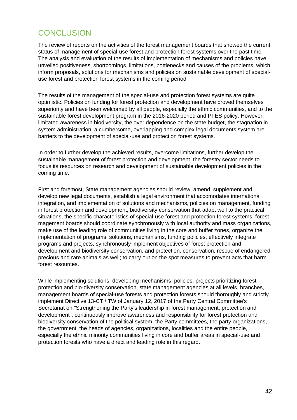## <span id="page-41-0"></span>**CONCLUSION**

The review of reports on the activities of the forest management boards that showed the current status of management of special-use forest and protection forest systems over the past time. The analysis and evaluation of the results of implementation of mechanisms and policies have unveiled positiveness, shortcomings, limitations, bottlenecks and causes of the problems, which inform proposals, solutions for mechanisms and policies on sustainable development of specialuse forest and protection forest systems in the coming period.

The results of the management of the special-use and protection forest systems are quite optimistic. Policies on funding for forest protection and development have proved themselves superiority and have been welcomed by all people, especially the ethnic communities, and to the sustainable forest development program in the 2016-2020 period and PFES policy. However, limitated awareness in biodiversity, the over dependence on the state budget, the stagnation in system administration, a cumbersome, overlapping and complex legal documents system are barriers to the development of special-use and protection forest systems.

In order to further develop the achieved results, overcome limitations, further develop the sustainable management of forest protection and development, the forestry sector needs to focus its resources on research and development of sustainable development policies in the coming time.

First and foremost, State management agencies should review, amend, supplement and develop new legal documents, establish a legal environment that accomodates international integration, and implementation of solutions and mechanisms, policies on management, funding in forest protection and development, biodiversity conservation that adapt well to the practical situations, the specific characteristics of special-use forest and protection forest systems. forest magement boards should coordinate synchronously with local authority and mass organizations, make use of the leading role of communities living in the core and buffer zones, organize the implementation of programs, solutions, mechanisms, funding policies, effectively integrate programs and projects, synchronously implement objectives of forest protection and development and biodiversity conservation, and protection, conservation, rescue of endangered, precious and rare animals as well; to carry out on the spot measures to prevent acts that harm forest resources.

While implementing solutions, developing mechanisms, policies, projects prioritizing forest protection and bio-diversity conservation, state management agencies at all levels, branches, management boards of special-use forests and protection forests should thoroughly and strictly implement Directive 13-CT / TW of January 12, 2017 of the Party Central Committee's Secretariat on "Strengthening the Party's leadership in forest management, protection and development", continuously improve awareness and responsibility for forest protection and biodiversity conservation of the political system, the Party committees, the party organizations, the government, the heads of agencies, organizations, localities and the entire people, especially the ethnic minority communities living in core and buffer areas in special-use and protection forests who have a direct and leading role in this regard.